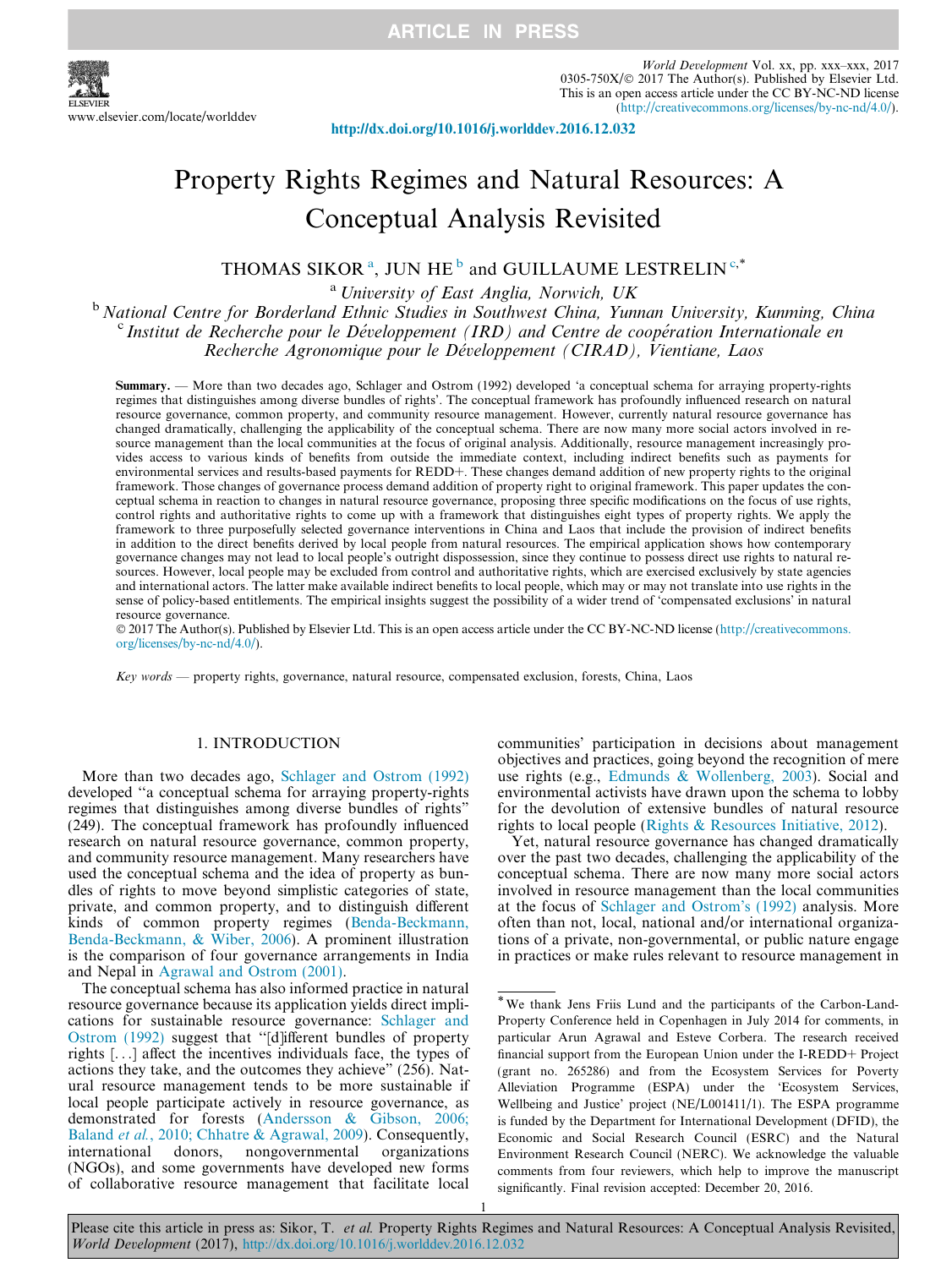

World Development Vol. xx, pp. xxx–xxx, 2017 0305-750X/ $\odot$  2017 The Author(s). Published by Elsevier Ltd. This is an open access article under the CC BY-NC-ND license

<http://dx.doi.org/10.1016/j.worlddev.2016.12.032>

# Property Rights Regimes and Natural Resources: A Conceptual Analysis Revisited

THOMAS SIKOR<sup>a</sup>, JUN HE<sup>b</sup> and GUILLAUME LESTRELIN<sup>c,\*</sup>

<sup>a</sup> University of East Anglia, Norwich, UK<br><sup>b</sup> National Centre for Borderland Ethnic Studies in Southwest China, Yunnan University, Kunming, China  $\sigma$ <sup>c</sup> Institut de Recherche pour le Développement (IRD) and Centre de coopération Internationale en Recherche Agronomique pour le Développement (CIRAD), Vientiane, Laos

Summary. — More than two decades ago, Schlager and Ostrom (1992) developed 'a conceptual schema for arraying property-rights regimes that distinguishes among diverse bundles of rights'. The conceptual framework has profoundly influenced research on natural resource governance, common property, and community resource management. However, currently natural resource governance has changed dramatically, challenging the applicability of the conceptual schema. There are now many more social actors involved in resource management than the local communities at the focus of original analysis. Additionally, resource management increasingly provides access to various kinds of benefits from outside the immediate context, including indirect benefits such as payments for environmental services and results-based payments for REDD+. These changes demand addition of new property rights to the original framework. Those changes of governance process demand addition of property right to original framework. This paper updates the conceptual schema in reaction to changes in natural resource governance, proposing three specific modifications on the focus of use rights, control rights and authoritative rights to come up with a framework that distinguishes eight types of property rights. We apply the framework to three purposefully selected governance interventions in China and Laos that include the provision of indirect benefits in addition to the direct benefits derived by local people from natural resources. The empirical application shows how contemporary governance changes may not lead to local people's outright dispossession, since they continue to possess direct use rights to natural resources. However, local people may be excluded from control and authoritative rights, which are exercised exclusively by state agencies and international actors. The latter make available indirect benefits to local people, which may or may not translate into use rights in the sense of policy-based entitlements. The empirical insights suggest the possibility of a wider trend of 'compensated exclusions' in natural resource governance.

 2017 The Author(s). Published by Elsevier Ltd. This is an open access article under the CC BY-NC-ND license ([http://creativecommons.](http://creativecommons.org/licenses/by-nc-nd/4.0/) [org/licenses/by-nc-nd/4.0/\)](http://creativecommons.org/licenses/by-nc-nd/4.0/).

Key words — property rights, governance, natural resource, compensated exclusion, forests, China, Laos

### 1. INTRODUCTION

More than two decades ago, [Schlager and Ostrom \(1992\)](#page-12-0) developed ''a conceptual schema for arraying property-rights regimes that distinguishes among diverse bundles of rights" (249). The conceptual framework has profoundly influenced research on natural resource governance, common property, and community resource management. Many researchers have used the conceptual schema and the idea of property as bundles of rights to move beyond simplistic categories of state, private, and common property, and to distinguish different kinds of common property regimes [\(Benda-Beckmann,](#page-11-0) [Benda-Beckmann, & Wiber, 2006](#page-11-0)). A prominent illustration is the comparison of four governance arrangements in India and Nepal in [Agrawal and Ostrom \(2001\)](#page-11-0).

The conceptual schema has also informed practice in natural resource governance because its application yields direct implications for sustainable resource governance: [Schlager and](#page-12-0) [Ostrom \(1992\)](#page-12-0) suggest that ''[d]ifferent bundles of property rights [...] affect the incentives individuals face, the types of actions they take, and the outcomes they achieve" (256). Natural resource management tends to be more sustainable if local people participate actively in resource governance, as demonstrated for forests [\(Andersson & Gibson, 2006;](#page-11-0) Baland et al.[, 2010; Chhatre & Agrawal, 2009](#page-11-0)). Consequently, international donors, nongovernmental organizations (NGOs), and some governments have developed new forms of collaborative resource management that facilitate local

communities' participation in decisions about management objectives and practices, going beyond the recognition of mere use rights (e.g., [Edmunds & Wollenberg, 2003](#page-11-0)). Social and environmental activists have drawn upon the schema to lobby for the devolution of extensive bundles of natural resource rights to local people [\(Rights & Resources Initiative, 2012\)](#page-11-0).

Yet, natural resource governance has changed dramatically over the past two decades, challenging the applicability of the conceptual schema. There are now many more social actors involved in resource management than the local communities at the focus of [Schlager and Ostrom's \(1992\)](#page-12-0) analysis. More often than not, local, national and/or international organizations of a private, non-governmental, or public nature engage in practices or make rules relevant to resource management in

<sup>\*</sup>We thank Jens Friis Lund and the participants of the Carbon-Land-Property Conference held in Copenhagen in July 2014 for comments, in particular Arun Agrawal and Esteve Corbera. The research received financial support from the European Union under the I-REDD+ Project (grant no. 265286) and from the Ecosystem Services for Poverty Alleviation Programme (ESPA) under the 'Ecosystem Services, Wellbeing and Justice' project (NE/L001411/1). The ESPA programme is funded by the Department for International Development (DFID), the Economic and Social Research Council (ESRC) and the Natural Environment Research Council (NERC). We acknowledge the valuable comments from four reviewers, which help to improve the manuscript significantly. Final revision accepted: December 20, 2016.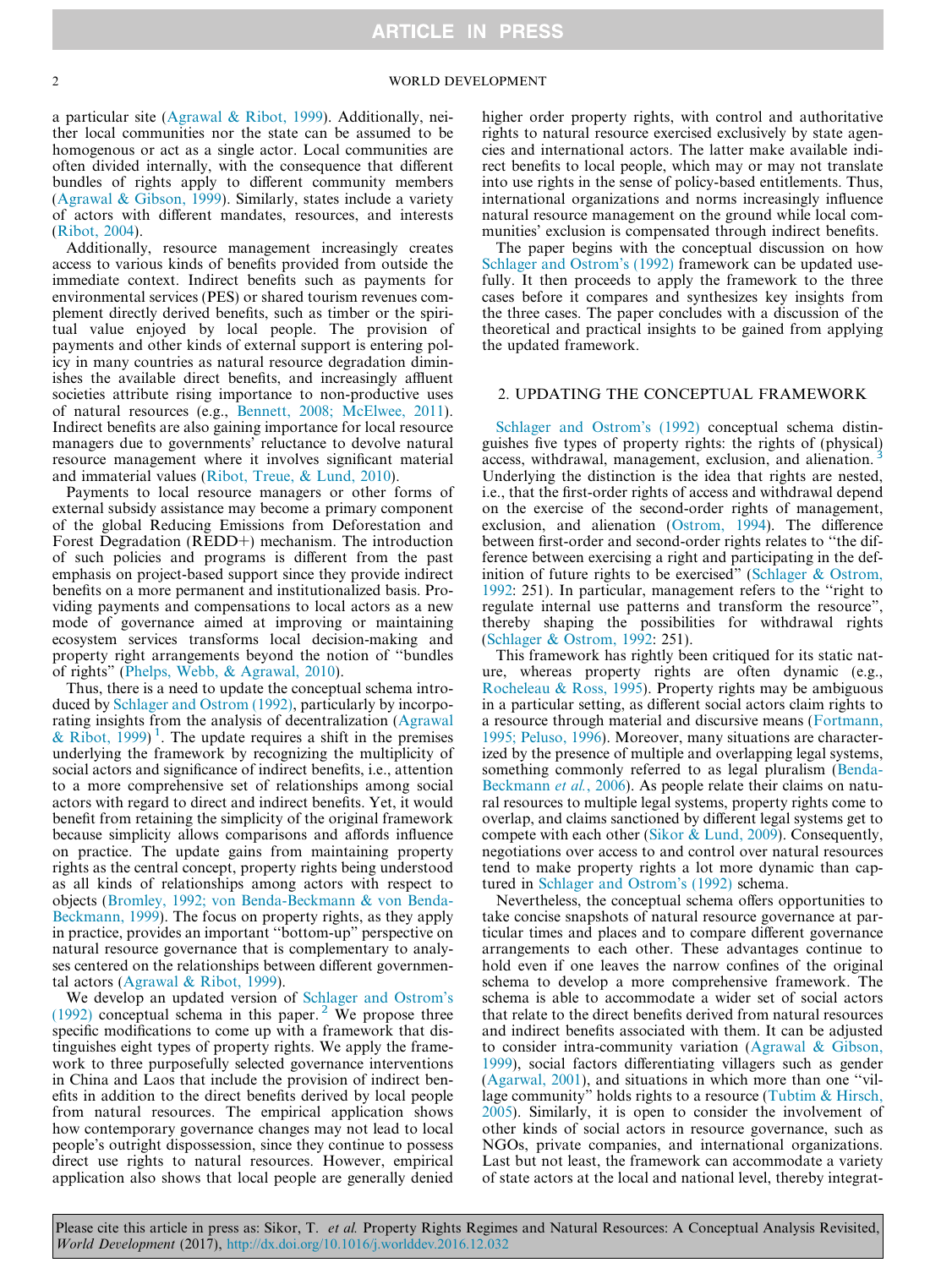a particular site ([Agrawal & Ribot, 1999](#page-11-0)). Additionally, neither local communities nor the state can be assumed to be homogenous or act as a single actor. Local communities are often divided internally, with the consequence that different bundles of rights apply to different community members ([Agrawal & Gibson, 1999\)](#page-11-0). Similarly, states include a variety of actors with different mandates, resources, and interests ([Ribot, 2004\)](#page-11-0).

Additionally, resource management increasingly creates access to various kinds of benefits provided from outside the immediate context. Indirect benefits such as payments for environmental services (PES) or shared tourism revenues complement directly derived benefits, such as timber or the spiritual value enjoyed by local people. The provision of payments and other kinds of external support is entering policy in many countries as natural resource degradation diminishes the available direct benefits, and increasingly affluent societies attribute rising importance to non-productive uses of natural resources (e.g., [Bennett, 2008; McElwee, 2011](#page-11-0)). Indirect benefits are also gaining importance for local resource managers due to governments' reluctance to devolve natural resource management where it involves significant material and immaterial values [\(Ribot, Treue, & Lund, 2010\)](#page-11-0).

Payments to local resource managers or other forms of external subsidy assistance may become a primary component of the global Reducing Emissions from Deforestation and Forest Degradation (REDD+) mechanism. The introduction of such policies and programs is different from the past emphasis on project-based support since they provide indirect benefits on a more permanent and institutionalized basis. Providing payments and compensations to local actors as a new mode of governance aimed at improving or maintaining ecosystem services transforms local decision-making and property right arrangements beyond the notion of ''bundles of rights" [\(Phelps, Webb, & Agrawal, 2010\)](#page-11-0).

Thus, there is a need to update the conceptual schema introduced by [Schlager and Ostrom \(1992\)](#page-12-0), particularly by incorporating insights from the analysis of decentralization [\(Agrawal](#page-11-0) & Ribot,  $1999$  $1999$ )<sup>1</sup>. The update requires a shift in the premises underlying the framework by recognizing the multiplicity of social actors and significance of indirect benefits, i.e., attention to a more comprehensive set of relationships among social actors with regard to direct and indirect benefits. Yet, it would benefit from retaining the simplicity of the original framework because simplicity allows comparisons and affords influence on practice. The update gains from maintaining property rights as the central concept, property rights being understood as all kinds of relationships among actors with respect to objects [\(Bromley, 1992; von Benda-Beckmann & von Benda-](#page-11-0)[Beckmann, 1999\)](#page-11-0). The focus on property rights, as they apply in practice, provides an important ''bottom-up" perspective on natural resource governance that is complementary to analyses centered on the relationships between different governmental actors [\(Agrawal & Ribot, 1999](#page-11-0)).

We develop an updated version of [Schlager and Ostrom's](#page-12-0)  $(1992)$  conceptual schema in this paper.<sup>[2](#page-10-0)</sup> We propose three specific modifications to come up with a framework that distinguishes eight types of property rights. We apply the framework to three purposefully selected governance interventions in China and Laos that include the provision of indirect benefits in addition to the direct benefits derived by local people from natural resources. The empirical application shows how contemporary governance changes may not lead to local people's outright dispossession, since they continue to possess direct use rights to natural resources. However, empirical application also shows that local people are generally denied higher order property rights, with control and authoritative rights to natural resource exercised exclusively by state agencies and international actors. The latter make available indirect benefits to local people, which may or may not translate into use rights in the sense of policy-based entitlements. Thus, international organizations and norms increasingly influence natural resource management on the ground while local communities' exclusion is compensated through indirect benefits.

The paper begins with the conceptual discussion on how [Schlager and Ostrom's \(1992\)](#page-12-0) framework can be updated usefully. It then proceeds to apply the framework to the three cases before it compares and synthesizes key insights from the three cases. The paper concludes with a discussion of the theoretical and practical insights to be gained from applying the updated framework.

### 2. UPDATING THE CONCEPTUAL FRAMEWORK

[Schlager and Ostrom's \(1992\)](#page-12-0) conceptual schema distinguishes five types of property rights: the rights of (physical) access, withdrawal, management, exclusion, and alienation. Underlying the distinction is the idea that rights are nested, i.e., that the first-order rights of access and withdrawal depend on the exercise of the second-order rights of management, exclusion, and alienation [\(Ostrom, 1994](#page-11-0)). The difference between first-order and second-order rights relates to ''the difference between exercising a right and participating in the def-inition of future rights to be exercised" ([Schlager & Ostrom,](#page-12-0) [1992:](#page-12-0) 251). In particular, management refers to the ''right to regulate internal use patterns and transform the resource", thereby shaping the possibilities for withdrawal rights ([Schlager & Ostrom, 1992](#page-12-0): 251).

This framework has rightly been critiqued for its static nature, whereas property rights are often dynamic (e.g., [Rocheleau & Ross, 1995](#page-12-0)). Property rights may be ambiguous in a particular setting, as different social actors claim rights to a resource through material and discursive means ([Fortmann,](#page-11-0) [1995; Peluso, 1996](#page-11-0)). Moreover, many situations are characterized by the presence of multiple and overlapping legal systems, something commonly referred to as legal pluralism ([Benda-](#page-11-0)[Beckmann](#page-11-0) *et al.*, 2006). As people relate their claims on natural resources to multiple legal systems, property rights come to overlap, and claims sanctioned by different legal systems get to compete with each other [\(Sikor & Lund, 2009\)](#page-12-0). Consequently, negotiations over access to and control over natural resources tend to make property rights a lot more dynamic than captured in [Schlager and Ostrom's \(1992\)](#page-12-0) schema.

Nevertheless, the conceptual schema offers opportunities to take concise snapshots of natural resource governance at particular times and places and to compare different governance arrangements to each other. These advantages continue to hold even if one leaves the narrow confines of the original schema to develop a more comprehensive framework. The schema is able to accommodate a wider set of social actors that relate to the direct benefits derived from natural resources and indirect benefits associated with them. It can be adjusted to consider intra-community variation ([Agrawal & Gibson,](#page-11-0) [1999\)](#page-11-0), social factors differentiating villagers such as gender ([Agarwal, 2001\)](#page-11-0), and situations in which more than one ''village community" holds rights to a resource ([Tubtim & Hirsch,](#page-12-0) [2005\)](#page-12-0). Similarly, it is open to consider the involvement of other kinds of social actors in resource governance, such as NGOs, private companies, and international organizations. Last but not least, the framework can accommodate a variety of state actors at the local and national level, thereby integrat-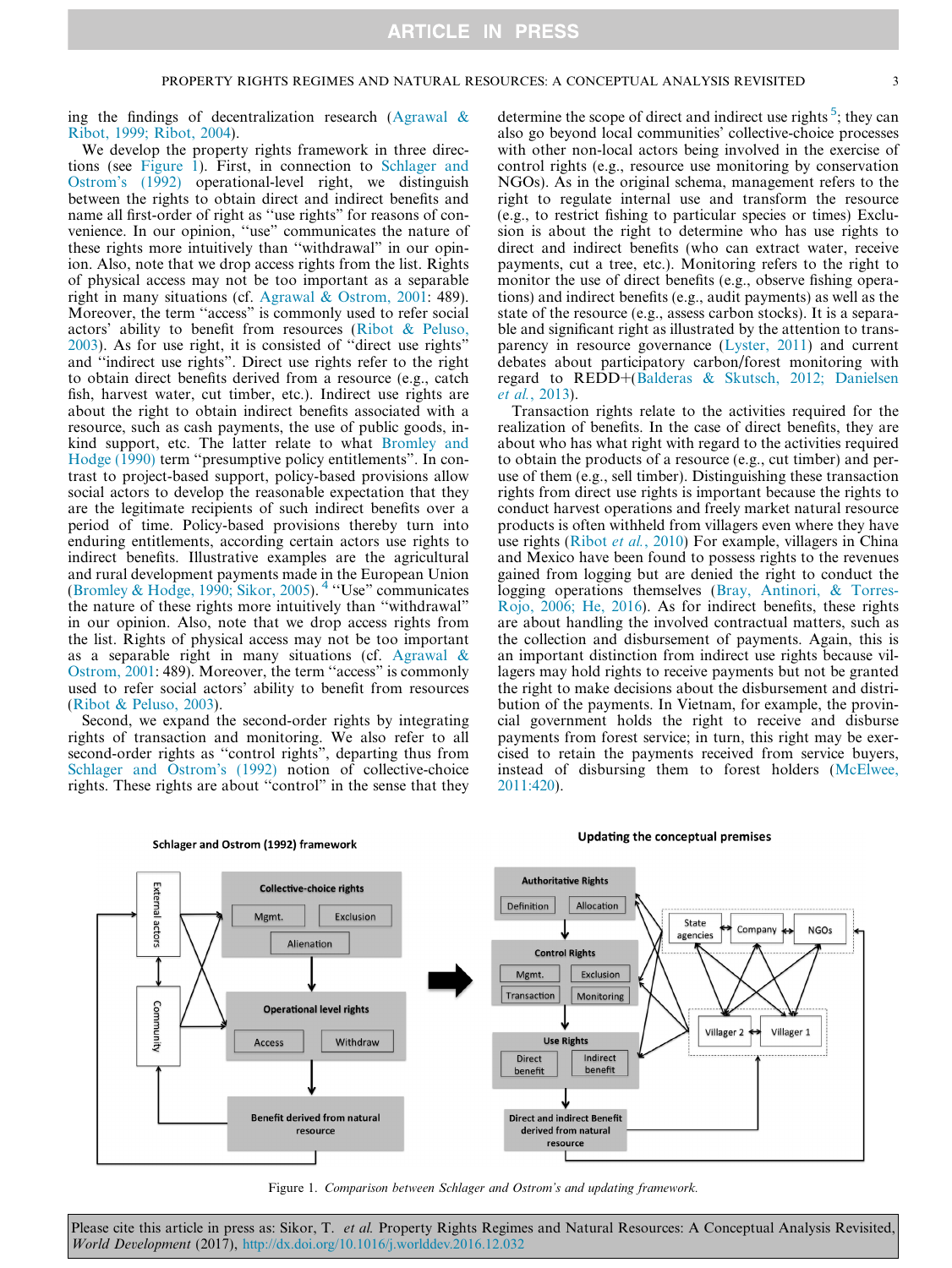ing the findings of decentralization research ([Agrawal &](#page-11-0) [Ribot, 1999; Ribot, 2004](#page-11-0)).

We develop the property rights framework in three directions (see Figure 1). First, in connection to [Schlager and](#page-12-0) [Ostrom's \(1992\)](#page-12-0) operational-level right, we distinguish between the rights to obtain direct and indirect benefits and name all first-order of right as ''use rights" for reasons of convenience. In our opinion, ''use" communicates the nature of these rights more intuitively than ''withdrawal" in our opinion. Also, note that we drop access rights from the list. Rights of physical access may not be too important as a separable right in many situations (cf. [Agrawal & Ostrom, 2001](#page-11-0): 489). Moreover, the term ''access" is commonly used to refer social actors' ability to benefit from resources [\(Ribot & Peluso,](#page-11-0) [2003](#page-11-0)). As for use right, it is consisted of ''direct use rights" and ''indirect use rights". Direct use rights refer to the right to obtain direct benefits derived from a resource (e.g., catch fish, harvest water, cut timber, etc.). Indirect use rights are about the right to obtain indirect benefits associated with a resource, such as cash payments, the use of public goods, inkind support, etc. The latter relate to what [Bromley and](#page-11-0) [Hodge \(1990\)](#page-11-0) term ''presumptive policy entitlements". In contrast to project-based support, policy-based provisions allow social actors to develop the reasonable expectation that they are the legitimate recipients of such indirect benefits over a period of time. Policy-based provisions thereby turn into enduring entitlements, according certain actors use rights to indirect benefits. Illustrative examples are the agricultural and rural development payments made in the European Union ([Bromley & Hodge, 1990; Sikor, 2005](#page-11-0)). [4](#page-10-0) ''Use" communicates the nature of these rights more intuitively than ''withdrawal" in our opinion. Also, note that we drop access rights from the list. Rights of physical access may not be too important as a separable right in many situations (cf. [Agrawal &](#page-11-0) [Ostrom, 2001](#page-11-0): 489). Moreover, the term ''access" is commonly used to refer social actors' ability to benefit from resources ([Ribot & Peluso, 2003\)](#page-11-0).

Second, we expand the second-order rights by integrating rights of transaction and monitoring. We also refer to all second-order rights as ''control rights", departing thus from [Schlager and Ostrom's \(1992\)](#page-12-0) notion of collective-choice rights. These rights are about ''control" in the sense that they

determine the [s](#page-10-0)cope of direct and indirect use rights<sup>[5](#page-10-0)</sup>; they can also go beyond local communities' collective-choice processes with other non-local actors being involved in the exercise of control rights (e.g., resource use monitoring by conservation NGOs). As in the original schema, management refers to the right to regulate internal use and transform the resource (e.g., to restrict fishing to particular species or times) Exclusion is about the right to determine who has use rights to direct and indirect benefits (who can extract water, receive payments, cut a tree, etc.). Monitoring refers to the right to monitor the use of direct benefits (e.g., observe fishing operations) and indirect benefits (e.g., audit payments) as well as the state of the resource (e.g., assess carbon stocks). It is a separable and significant right as illustrated by the attention to transparency in resource governance [\(Lyster, 2011](#page-11-0)) and current debates about participatory carbon/forest monitoring with regard to REDD+[\(Balderas & Skutsch, 2012; Danielsen](#page-11-0) et al.[, 2013](#page-11-0)).

Transaction rights relate to the activities required for the realization of benefits. In the case of direct benefits, they are about who has what right with regard to the activities required to obtain the products of a resource (e.g., cut timber) and peruse of them (e.g., sell timber). Distinguishing these transaction rights from direct use rights is important because the rights to conduct harvest operations and freely market natural resource products is often withheld from villagers even where they have use rights (Ribot et al.[, 2010\)](#page-11-0) For example, villagers in China and Mexico have been found to possess rights to the revenues gained from logging but are denied the right to conduct the logging operations themselves [\(Bray, Antinori, & Torres-](#page-11-0)[Rojo, 2006; He, 2016\)](#page-11-0). As for indirect benefits, these rights are about handling the involved contractual matters, such as the collection and disbursement of payments. Again, this is an important distinction from indirect use rights because villagers may hold rights to receive payments but not be granted the right to make decisions about the disbursement and distribution of the payments. In Vietnam, for example, the provincial government holds the right to receive and disburse payments from forest service; in turn, this right may be exercised to retain the payments received from service buyers, instead of disbursing them to forest holders ([McElwee,](#page-11-0) [2011:420](#page-11-0)).



### Schlager and Ostrom (1992) framework

### **Updating the conceptual premises**

Figure 1. Comparison between Schlager and Ostrom's and updating framework.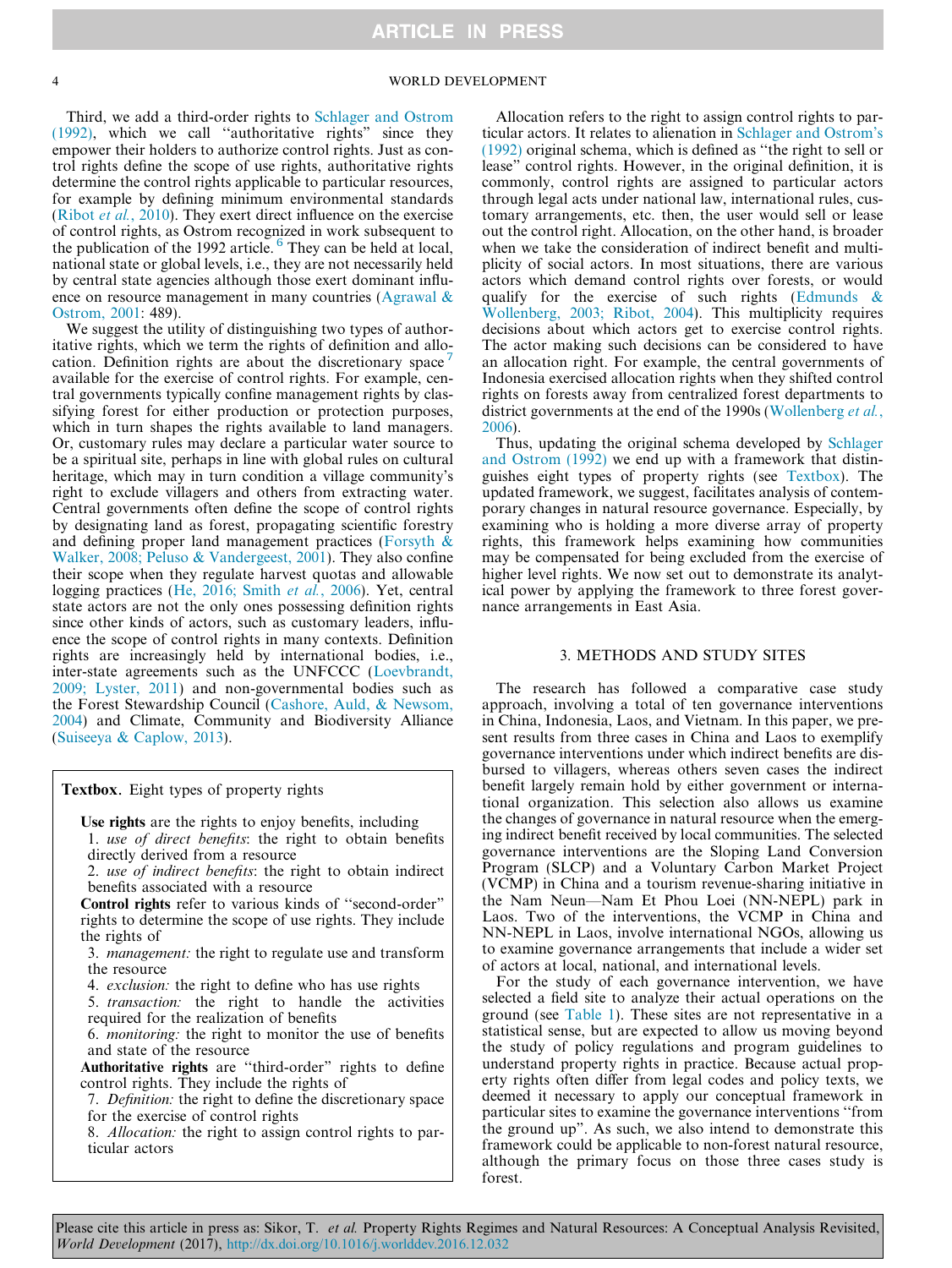Third, we add a third-order rights to [Schlager and Ostrom](#page-12-0) [\(1992\),](#page-12-0) which we call ''authoritative rights" since they empower their holders to authorize control rights. Just as control rights define the scope of use rights, authoritative rights determine the control rights applicable to particular resources, for example by defining minimum environmental standards (Ribot et al.[, 2010](#page-11-0)). They exert direct influence on the exercise of control rights, as Ostrom recognized in work subsequent to the publication of the 1992 article. [6](#page-10-0) They can be held at local, national state or global levels, i.e., they are not necessarily held by central state agencies although those exert dominant influence on resource management in many countries ([Agrawal &](#page-11-0) [Ostrom, 2001](#page-11-0): 489).

We suggest the utility of distinguishing two types of authoritative rights, which we term the rights of definition and allocation. Definition rights are about the discretionary space available for the exercise of control rights. For example, central governments typically confine management rights by classifying forest for either production or protection purposes, which in turn shapes the rights available to land managers. Or, customary rules may declare a particular water source to be a spiritual site, perhaps in line with global rules on cultural heritage, which may in turn condition a village community's right to exclude villagers and others from extracting water. Central governments often define the scope of control rights by designating land as forest, propagating scientific forestry and defining proper land management practices [\(Forsyth &](#page-11-0) [Walker, 2008; Peluso & Vandergeest, 2001](#page-11-0)). They also confine their scope when they regulate harvest quotas and allowable logging practices ([He, 2016; Smith](#page-11-0) et al., 2006). Yet, central state actors are not the only ones possessing definition rights since other kinds of actors, such as customary leaders, influence the scope of control rights in many contexts. Definition rights are increasingly held by international bodies, i.e., inter-state agreements such as the UNFCCC ([Loevbrandt,](#page-11-0) [2009; Lyster, 2011\)](#page-11-0) and non-governmental bodies such as the Forest Stewardship Council [\(Cashore, Auld, & Newsom,](#page-11-0) [2004\)](#page-11-0) and Climate, Community and Biodiversity Alliance ([Suiseeya & Caplow, 2013\)](#page-12-0).

Textbox. Eight types of property rights

Use rights are the rights to enjoy benefits, including 1. use of direct benefits: the right to obtain benefits directly derived from a resource

2. use of indirect benefits: the right to obtain indirect benefits associated with a resource

Control rights refer to various kinds of ''second-order" rights to determine the scope of use rights. They include the rights of

3. management: the right to regulate use and transform the resource

4. exclusion: the right to define who has use rights

5. transaction: the right to handle the activities required for the realization of benefits

6. monitoring: the right to monitor the use of benefits and state of the resource

Authoritative rights are "third-order" rights to define control rights. They include the rights of

7. Definition: the right to define the discretionary space for the exercise of control rights

8. Allocation: the right to assign control rights to particular actors

Allocation refers to the right to assign control rights to particular actors. It relates to alienation in [Schlager and Ostrom's](#page-12-0) [\(1992\)](#page-12-0) original schema, which is defined as ''the right to sell or lease" control rights. However, in the original definition, it is commonly, control rights are assigned to particular actors through legal acts under national law, international rules, customary arrangements, etc. then, the user would sell or lease out the control right. Allocation, on the other hand, is broader when we take the consideration of indirect benefit and multiplicity of social actors. In most situations, there are various actors which demand control rights over forests, or would qualify for the exercise of such rights [\(Edmunds &](#page-11-0) [Wollenberg, 2003; Ribot, 2004](#page-11-0)). This multiplicity requires decisions about which actors get to exercise control rights. The actor making such decisions can be considered to have an allocation right. For example, the central governments of Indonesia exercised allocation rights when they shifted control rights on forests away from centralized forest departments to district governments at the end of the 1990s ([Wollenberg](#page-12-0) et al., [2006\)](#page-12-0).

Thus, updating the original schema developed by [Schlager](#page-12-0) [and Ostrom \(1992\)](#page-12-0) we end up with a framework that distinguishes eight types of property rights (see Textbox). The updated framework, we suggest, facilitates analysis of contemporary changes in natural resource governance. Especially, by examining who is holding a more diverse array of property rights, this framework helps examining how communities may be compensated for being excluded from the exercise of higher level rights. We now set out to demonstrate its analytical power by applying the framework to three forest governance arrangements in East Asia.

### 3. METHODS AND STUDY SITES

The research has followed a comparative case study approach, involving a total of ten governance interventions in China, Indonesia, Laos, and Vietnam. In this paper, we present results from three cases in China and Laos to exemplify governance interventions under which indirect benefits are disbursed to villagers, whereas others seven cases the indirect benefit largely remain hold by either government or international organization. This selection also allows us examine the changes of governance in natural resource when the emerging indirect benefit received by local communities. The selected governance interventions are the Sloping Land Conversion Program (SLCP) and a Voluntary Carbon Market Project (VCMP) in China and a tourism revenue-sharing initiative in the Nam Neun—Nam Et Phou Loei (NN-NEPL) park in Laos. Two of the interventions, the VCMP in China and NN-NEPL in Laos, involve international NGOs, allowing us to examine governance arrangements that include a wider set of actors at local, national, and international levels.

For the study of each governance intervention, we have selected a field site to analyze their actual operations on the ground (see [Table 1](#page-4-0)). These sites are not representative in a statistical sense, but are expected to allow us moving beyond the study of policy regulations and program guidelines to understand property rights in practice. Because actual property rights often differ from legal codes and policy texts, we deemed it necessary to apply our conceptual framework in particular sites to examine the governance interventions ''from the ground up". As such, we also intend to demonstrate this framework could be applicable to non-forest natural resource, although the primary focus on those three cases study is forest.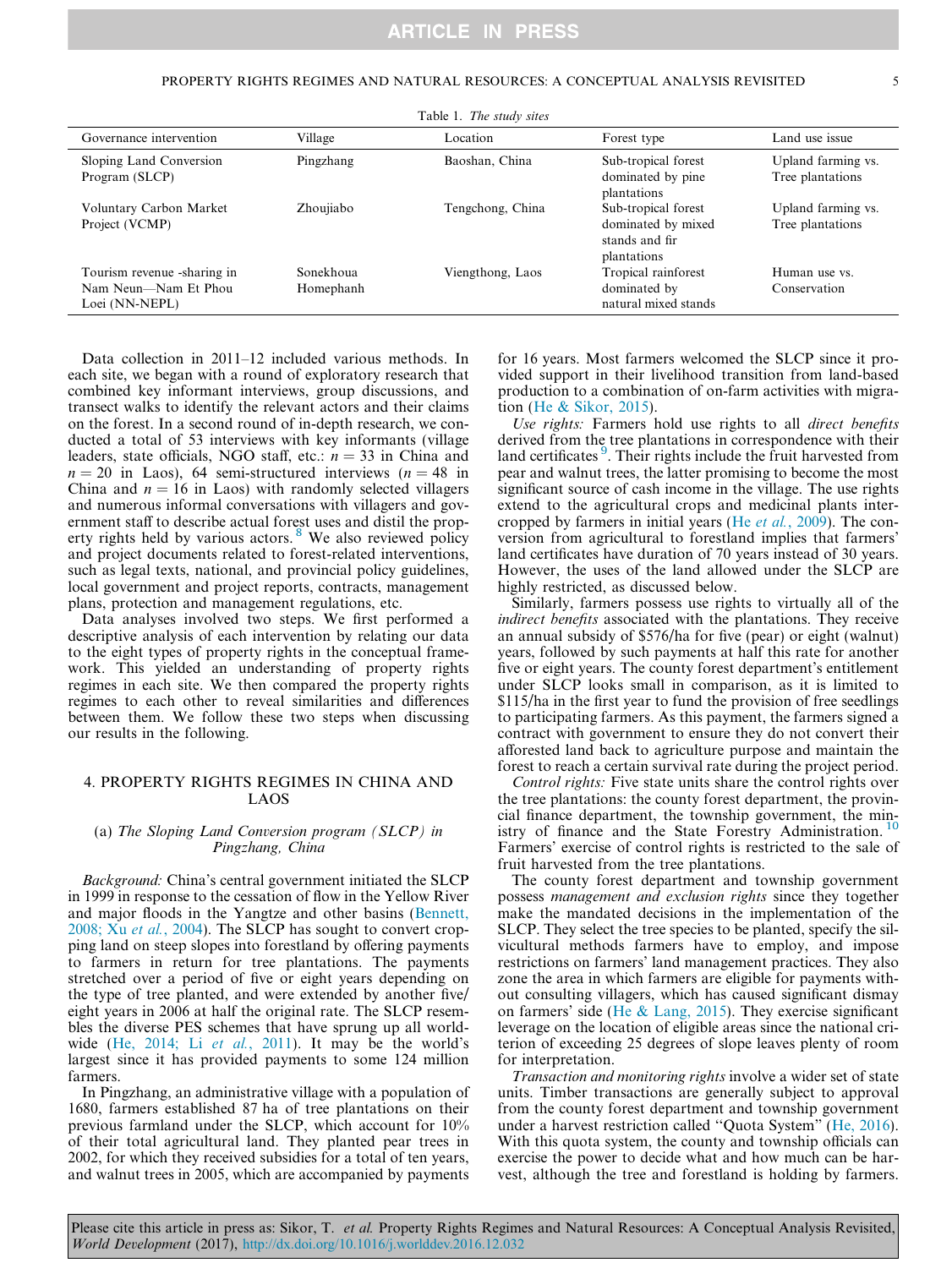<span id="page-4-0"></span>

| Table 1. The study sites                                              |                        |                  |                                                                            |                                        |  |  |
|-----------------------------------------------------------------------|------------------------|------------------|----------------------------------------------------------------------------|----------------------------------------|--|--|
| Governance intervention                                               | Village                | Location         | Forest type                                                                | Land use issue                         |  |  |
| Sloping Land Conversion<br>Program (SLCP)                             | Pingzhang              | Baoshan, China   | Sub-tropical forest<br>dominated by pine<br>plantations                    | Upland farming vs.<br>Tree plantations |  |  |
| Voluntary Carbon Market<br>Project (VCMP)                             | Zhoujiabo              | Tengchong, China | Sub-tropical forest<br>dominated by mixed<br>stands and fir<br>plantations | Upland farming vs.<br>Tree plantations |  |  |
| Tourism revenue -sharing in<br>Nam Neun-Nam Et Phou<br>Loei (NN-NEPL) | Sonekhoua<br>Homephanh | Viengthong, Laos | Tropical rainforest<br>dominated by<br>natural mixed stands                | Human use vs.<br>Conservation          |  |  |
|                                                                       |                        |                  |                                                                            |                                        |  |  |

Data collection in 2011–12 included various methods. In each site, we began with a round of exploratory research that combined key informant interviews, group discussions, and transect walks to identify the relevant actors and their claims on the forest. In a second round of in-depth research, we conducted a total of 53 interviews with key informants (village leaders, state officials, NGO staff, etc.:  $n = 33$  in China and  $n = 20$  in Laos), 64 semi-structured interviews ( $n = 48$  in China and  $n = 16$  in Laos) with randomly selected villagers and numerous informal conversations with villagers and government staff to describe actual forest uses and distil the prop-erty rights held by various actors.<sup>[8](#page-10-0)</sup> We also reviewed policy and project documents related to forest-related interventions, such as legal texts, national, and provincial policy guidelines, local government and project reports, contracts, management plans, protection and management regulations, etc.

Data analyses involved two steps. We first performed a descriptive analysis of each intervention by relating our data to the eight types of property rights in the conceptual framework. This yielded an understanding of property rights regimes in each site. We then compared the property rights regimes to each other to reveal similarities and differences between them. We follow these two steps when discussing our results in the following.

### 4. PROPERTY RIGHTS REGIMES IN CHINA AND LAOS

### (a) The Sloping Land Conversion program (SLCP) in Pingzhang, China

Background: China's central government initiated the SLCP in 1999 in response to the cessation of flow in the Yellow River and major floods in the Yangtze and other basins ([Bennett,](#page-11-0) [2008; Xu](#page-11-0) et al., 2004). The SLCP has sought to convert cropping land on steep slopes into forestland by offering payments to farmers in return for tree plantations. The payments stretched over a period of five or eight years depending on the type of tree planted, and were extended by another five/ eight years in 2006 at half the original rate. The SLCP resembles the diverse PES schemes that have sprung up all world-wide [\(He, 2014; Li](#page-11-0) et al., 2011). It may be the world's largest since it has provided payments to some 124 million farmers.

In Pingzhang, an administrative village with a population of 1680, farmers established 87 ha of tree plantations on their previous farmland under the SLCP, which account for 10% of their total agricultural land. They planted pear trees in 2002, for which they received subsidies for a total of ten years, and walnut trees in 2005, which are accompanied by payments

for 16 years. Most farmers welcomed the SLCP since it provided support in their livelihood transition from land-based production to a combination of on-farm activities with migration ([He & Sikor, 2015](#page-11-0)).

Use rights: Farmers hold use rights to all direct benefits derived from the tree plantations in correspondence with their land certificate[s](#page-10-0) <sup>[9](#page-10-0)</sup>. Their rights include the fruit harvested from pear and walnut trees, the latter promising to become the most significant source of cash income in the village. The use rights extend to the agricultural crops and medicinal plants intercropped by farmers in initial years (He et al.[, 2009](#page-11-0)). The conversion from agricultural to forestland implies that farmers' land certificates have duration of 70 years instead of 30 years. However, the uses of the land allowed under the SLCP are highly restricted, as discussed below.

Similarly, farmers possess use rights to virtually all of the indirect benefits associated with the plantations. They receive an annual subsidy of \$576/ha for five (pear) or eight (walnut) years, followed by such payments at half this rate for another five or eight years. The county forest department's entitlement under SLCP looks small in comparison, as it is limited to \$115/ha in the first year to fund the provision of free seedlings to participating farmers. As this payment, the farmers signed a contract with government to ensure they do not convert their afforested land back to agriculture purpose and maintain the forest to reach a certain survival rate during the project period.

Control rights: Five state units share the control rights over the tree plantations: the county forest department, the provincial finance department, the township government, the min-istry of finance and the State Forestry Administration.<sup>[10](#page-10-0)</sup> Farmers' exercise of control rights is restricted to the sale of fruit harvested from the tree plantations.

The county forest department and township government possess management and exclusion rights since they together make the mandated decisions in the implementation of the SLCP. They select the tree species to be planted, specify the silvicultural methods farmers have to employ, and impose restrictions on farmers' land management practices. They also zone the area in which farmers are eligible for payments without consulting villagers, which has caused significant dismay on farmers' side (He  $&$  Lang, 2015). They exercise significant leverage on the location of eligible areas since the national criterion of exceeding 25 degrees of slope leaves plenty of room for interpretation.

Transaction and monitoring rights involve a wider set of state units. Timber transactions are generally subject to approval from the county forest department and township government under a harvest restriction called ''Quota System" ([He, 2016\)](#page-11-0). With this quota system, the county and township officials can exercise the power to decide what and how much can be harvest, although the tree and forestland is holding by farmers.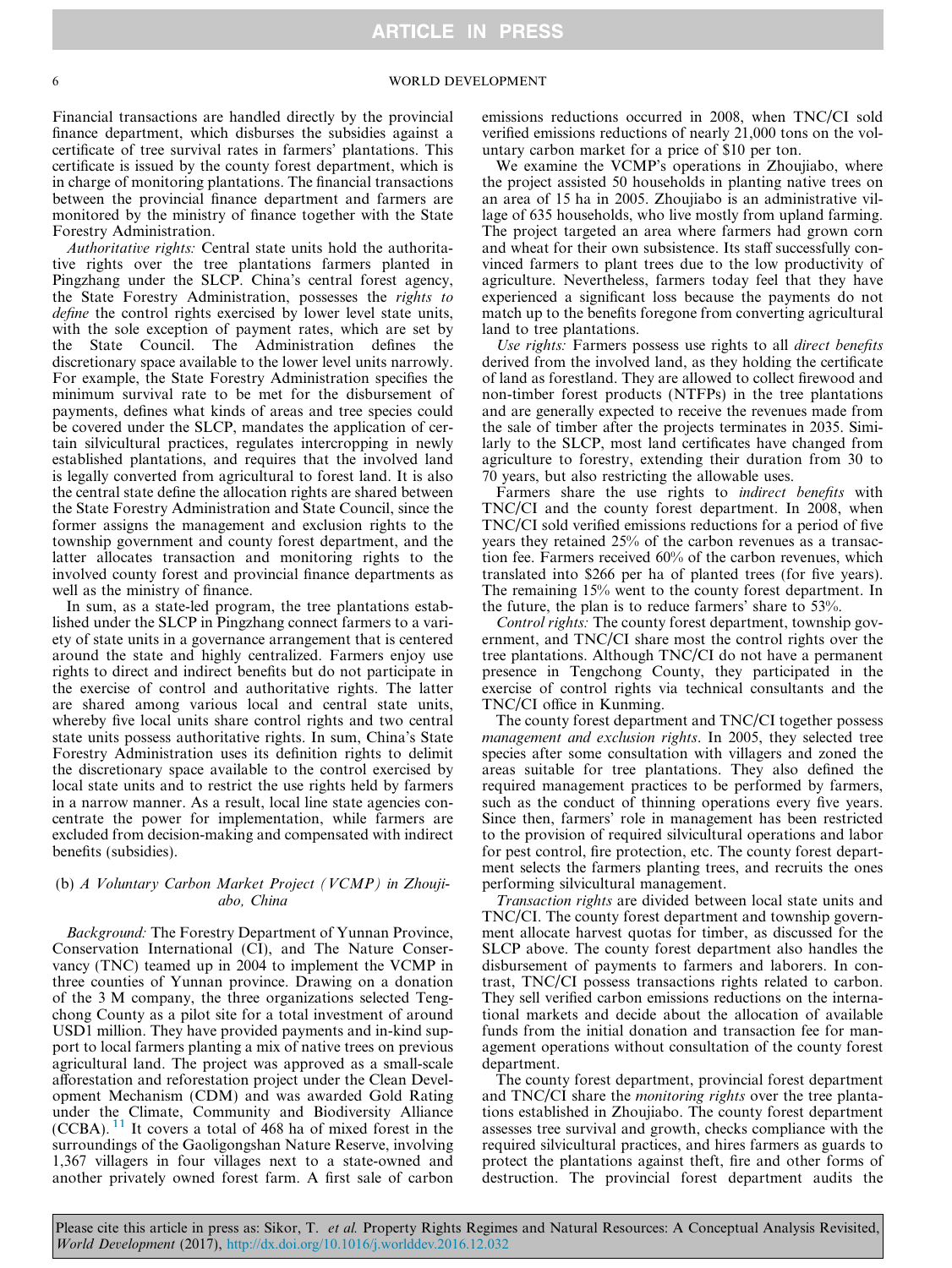Financial transactions are handled directly by the provincial finance department, which disburses the subsidies against a certificate of tree survival rates in farmers' plantations. This certificate is issued by the county forest department, which is in charge of monitoring plantations. The financial transactions between the provincial finance department and farmers are monitored by the ministry of finance together with the State Forestry Administration.

Authoritative rights: Central state units hold the authoritative rights over the tree plantations farmers planted in Pingzhang under the SLCP. China's central forest agency, the State Forestry Administration, possesses the rights to define the control rights exercised by lower level state units, with the sole exception of payment rates, which are set by the State Council. The Administration defines the discretionary space available to the lower level units narrowly. For example, the State Forestry Administration specifies the minimum survival rate to be met for the disbursement of payments, defines what kinds of areas and tree species could be covered under the SLCP, mandates the application of certain silvicultural practices, regulates intercropping in newly established plantations, and requires that the involved land is legally converted from agricultural to forest land. It is also the central state define the allocation rights are shared between the State Forestry Administration and State Council, since the former assigns the management and exclusion rights to the township government and county forest department, and the latter allocates transaction and monitoring rights to the involved county forest and provincial finance departments as well as the ministry of finance.

In sum, as a state-led program, the tree plantations established under the SLCP in Pingzhang connect farmers to a variety of state units in a governance arrangement that is centered around the state and highly centralized. Farmers enjoy use rights to direct and indirect benefits but do not participate in the exercise of control and authoritative rights. The latter are shared among various local and central state units, whereby five local units share control rights and two central state units possess authoritative rights. In sum, China's State Forestry Administration uses its definition rights to delimit the discretionary space available to the control exercised by local state units and to restrict the use rights held by farmers in a narrow manner. As a result, local line state agencies concentrate the power for implementation, while farmers are excluded from decision-making and compensated with indirect benefits (subsidies).

### (b) A Voluntary Carbon Market Project (VCMP) in Zhoujiabo, China

Background: The Forestry Department of Yunnan Province, Conservation International (CI), and The Nature Conservancy (TNC) teamed up in 2004 to implement the VCMP in three counties of Yunnan province. Drawing on a donation of the 3 M company, the three organizations selected Tengchong County as a pilot site for a total investment of around USD1 million. They have provided payments and in-kind support to local farmers planting a mix of native trees on previous agricultural land. The project was approved as a small-scale afforestation and reforestation project under the Clean Development Mechanism (CDM) and was awarded Gold Rating under the Climate, Community and Biodiversity Alliance (CCBA).  $^{11}$  $^{11}$  $^{11}$  It covers a total of 468 ha of mixed forest in the surroundings of the Gaoligongshan Nature Reserve, involving 1,367 villagers in four villages next to a state-owned and another privately owned forest farm. A first sale of carbon

emissions reductions occurred in 2008, when TNC/CI sold verified emissions reductions of nearly 21,000 tons on the voluntary carbon market for a price of \$10 per ton.

We examine the VCMP's operations in Zhoujiabo, where the project assisted 50 households in planting native trees on an area of 15 ha in 2005. Zhoujiabo is an administrative village of 635 households, who live mostly from upland farming. The project targeted an area where farmers had grown corn and wheat for their own subsistence. Its staff successfully convinced farmers to plant trees due to the low productivity of agriculture. Nevertheless, farmers today feel that they have experienced a significant loss because the payments do not match up to the benefits foregone from converting agricultural land to tree plantations.

Use rights: Farmers possess use rights to all direct benefits derived from the involved land, as they holding the certificate of land as forestland. They are allowed to collect firewood and non-timber forest products (NTFPs) in the tree plantations and are generally expected to receive the revenues made from the sale of timber after the projects terminates in 2035. Similarly to the SLCP, most land certificates have changed from agriculture to forestry, extending their duration from 30 to 70 years, but also restricting the allowable uses.

Farmers share the use rights to *indirect benefits* with TNC/CI and the county forest department. In 2008, when TNC/CI sold verified emissions reductions for a period of five years they retained 25% of the carbon revenues as a transaction fee. Farmers received 60% of the carbon revenues, which translated into \$266 per ha of planted trees (for five years). The remaining 15% went to the county forest department. In the future, the plan is to reduce farmers' share to 53%.

Control rights: The county forest department, township government, and TNC/CI share most the control rights over the tree plantations. Although TNC/CI do not have a permanent presence in Tengchong County, they participated in the exercise of control rights via technical consultants and the TNC/CI office in Kunming.

The county forest department and TNC/CI together possess management and exclusion rights. In 2005, they selected tree species after some consultation with villagers and zoned the areas suitable for tree plantations. They also defined the required management practices to be performed by farmers, such as the conduct of thinning operations every five years. Since then, farmers' role in management has been restricted to the provision of required silvicultural operations and labor for pest control, fire protection, etc. The county forest department selects the farmers planting trees, and recruits the ones performing silvicultural management.

Transaction rights are divided between local state units and TNC/CI. The county forest department and township government allocate harvest quotas for timber, as discussed for the SLCP above. The county forest department also handles the disbursement of payments to farmers and laborers. In contrast, TNC/CI possess transactions rights related to carbon. They sell verified carbon emissions reductions on the international markets and decide about the allocation of available funds from the initial donation and transaction fee for management operations without consultation of the county forest department.

The county forest department, provincial forest department and TNC/CI share the *monitoring rights* over the tree plantations established in Zhoujiabo. The county forest department assesses tree survival and growth, checks compliance with the required silvicultural practices, and hires farmers as guards to protect the plantations against theft, fire and other forms of destruction. The provincial forest department audits the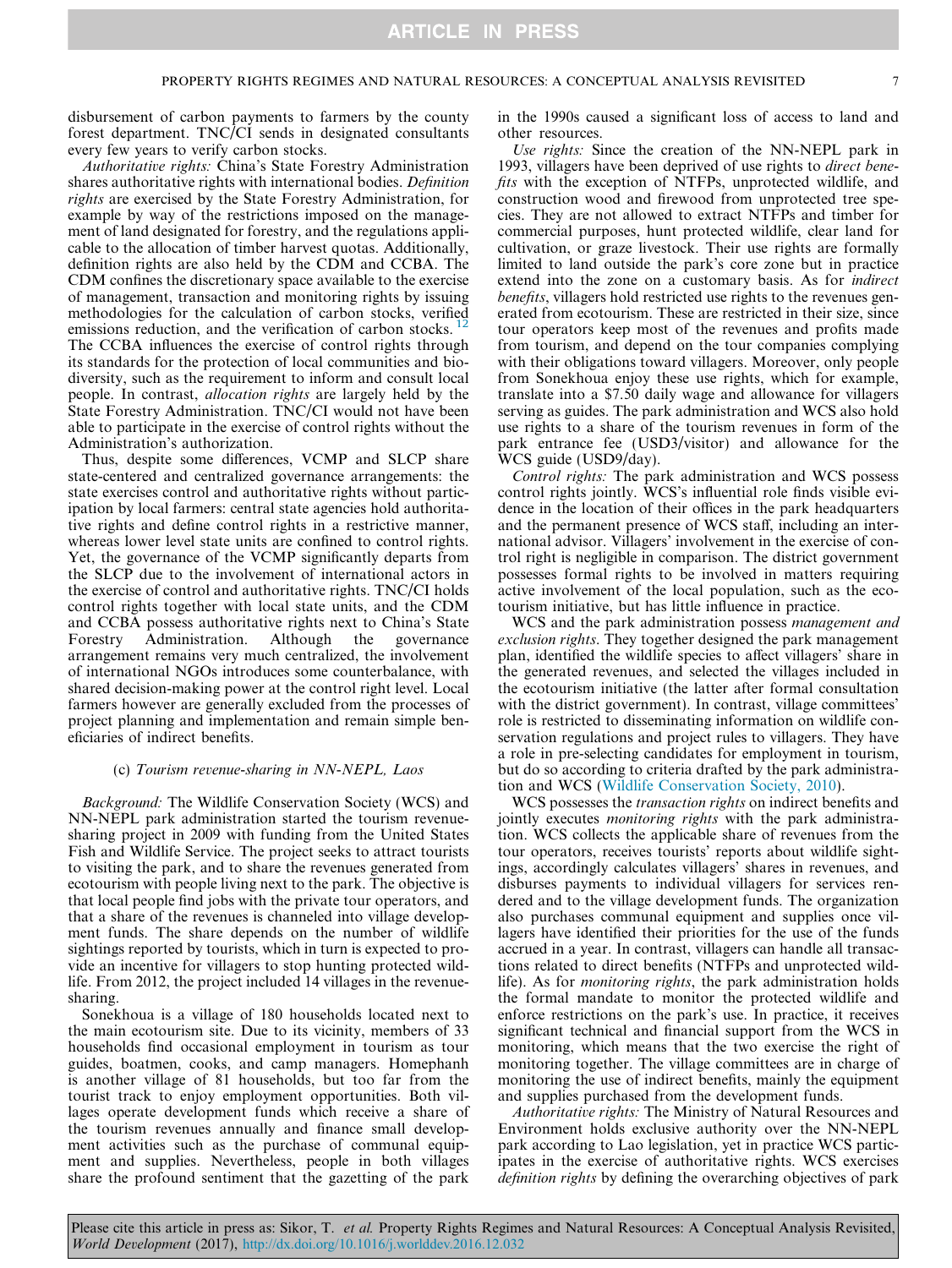disbursement of carbon payments to farmers by the county forest department. TNC/CI sends in designated consultants every few years to verify carbon stocks.

Authoritative rights: China's State Forestry Administration shares authoritative rights with international bodies. Definition rights are exercised by the State Forestry Administration, for example by way of the restrictions imposed on the management of land designated for forestry, and the regulations applicable to the allocation of timber harvest quotas. Additionally, definition rights are also held by the CDM and CCBA. The CDM confines the discretionary space available to the exercise of management, transaction and monitoring rights by issuing methodologies for the calculation of carbon stocks, verified emissions reduction, and the verification of carbon stocks. The CCBA influences the exercise of control rights through its standards for the protection of local communities and biodiversity, such as the requirement to inform and consult local people. In contrast, allocation rights are largely held by the State Forestry Administration. TNC/CI would not have been able to participate in the exercise of control rights without the Administration's authorization.

Thus, despite some differences, VCMP and SLCP share state-centered and centralized governance arrangements: the state exercises control and authoritative rights without participation by local farmers: central state agencies hold authoritative rights and define control rights in a restrictive manner, whereas lower level state units are confined to control rights. Yet, the governance of the VCMP significantly departs from the SLCP due to the involvement of international actors in the exercise of control and authoritative rights. TNC/CI holds control rights together with local state units, and the CDM and CCBA possess authoritative rights next to China's State Forestry Administration. Although the governance arrangement remains very much centralized, the involvement of international NGOs introduces some counterbalance, with shared decision-making power at the control right level. Local farmers however are generally excluded from the processes of project planning and implementation and remain simple beneficiaries of indirect benefits.

### (c) Tourism revenue-sharing in NN-NEPL, Laos

Background: The Wildlife Conservation Society (WCS) and NN-NEPL park administration started the tourism revenuesharing project in 2009 with funding from the United States Fish and Wildlife Service. The project seeks to attract tourists to visiting the park, and to share the revenues generated from ecotourism with people living next to the park. The objective is that local people find jobs with the private tour operators, and that a share of the revenues is channeled into village development funds. The share depends on the number of wildlife sightings reported by tourists, which in turn is expected to provide an incentive for villagers to stop hunting protected wildlife. From 2012, the project included 14 villages in the revenuesharing.

Sonekhoua is a village of 180 households located next to the main ecotourism site. Due to its vicinity, members of 33 households find occasional employment in tourism as tour guides, boatmen, cooks, and camp managers. Homephanh is another village of 81 households, but too far from the tourist track to enjoy employment opportunities. Both villages operate development funds which receive a share of the tourism revenues annually and finance small development activities such as the purchase of communal equipment and supplies. Nevertheless, people in both villages share the profound sentiment that the gazetting of the park

in the 1990s caused a significant loss of access to land and other resources.

Use rights: Since the creation of the NN-NEPL park in 1993, villagers have been deprived of use rights to *direct bene*fits with the exception of NTFPs, unprotected wildlife, and construction wood and firewood from unprotected tree species. They are not allowed to extract NTFPs and timber for commercial purposes, hunt protected wildlife, clear land for cultivation, or graze livestock. Their use rights are formally limited to land outside the park's core zone but in practice extend into the zone on a customary basis. As for indirect benefits, villagers hold restricted use rights to the revenues generated from ecotourism. These are restricted in their size, since tour operators keep most of the revenues and profits made from tourism, and depend on the tour companies complying with their obligations toward villagers. Moreover, only people from Sonekhoua enjoy these use rights, which for example, translate into a \$7.50 daily wage and allowance for villagers serving as guides. The park administration and WCS also hold use rights to a share of the tourism revenues in form of the park entrance fee (USD3/visitor) and allowance for the WCS guide (USD9/day).

Control rights: The park administration and WCS possess control rights jointly. WCS's influential role finds visible evidence in the location of their offices in the park headquarters and the permanent presence of WCS staff, including an international advisor. Villagers' involvement in the exercise of control right is negligible in comparison. The district government possesses formal rights to be involved in matters requiring active involvement of the local population, such as the ecotourism initiative, but has little influence in practice.

WCS and the park administration possess *management and* exclusion rights. They together designed the park management plan, identified the wildlife species to affect villagers' share in the generated revenues, and selected the villages included in the ecotourism initiative (the latter after formal consultation with the district government). In contrast, village committees' role is restricted to disseminating information on wildlife conservation regulations and project rules to villagers. They have a role in pre-selecting candidates for employment in tourism, but do so according to criteria drafted by the park administration and WCS ([Wildlife Conservation Society, 2010](#page-12-0)).

WCS possesses the *transaction rights* on indirect benefits and jointly executes *monitoring rights* with the park administration. WCS collects the applicable share of revenues from the tour operators, receives tourists' reports about wildlife sightings, accordingly calculates villagers' shares in revenues, and disburses payments to individual villagers for services rendered and to the village development funds. The organization also purchases communal equipment and supplies once villagers have identified their priorities for the use of the funds accrued in a year. In contrast, villagers can handle all transactions related to direct benefits (NTFPs and unprotected wildlife). As for monitoring rights, the park administration holds the formal mandate to monitor the protected wildlife and enforce restrictions on the park's use. In practice, it receives significant technical and financial support from the WCS in monitoring, which means that the two exercise the right of monitoring together. The village committees are in charge of monitoring the use of indirect benefits, mainly the equipment and supplies purchased from the development funds.

Authoritative rights: The Ministry of Natural Resources and Environment holds exclusive authority over the NN-NEPL park according to Lao legislation, yet in practice WCS participates in the exercise of authoritative rights. WCS exercises definition rights by defining the overarching objectives of park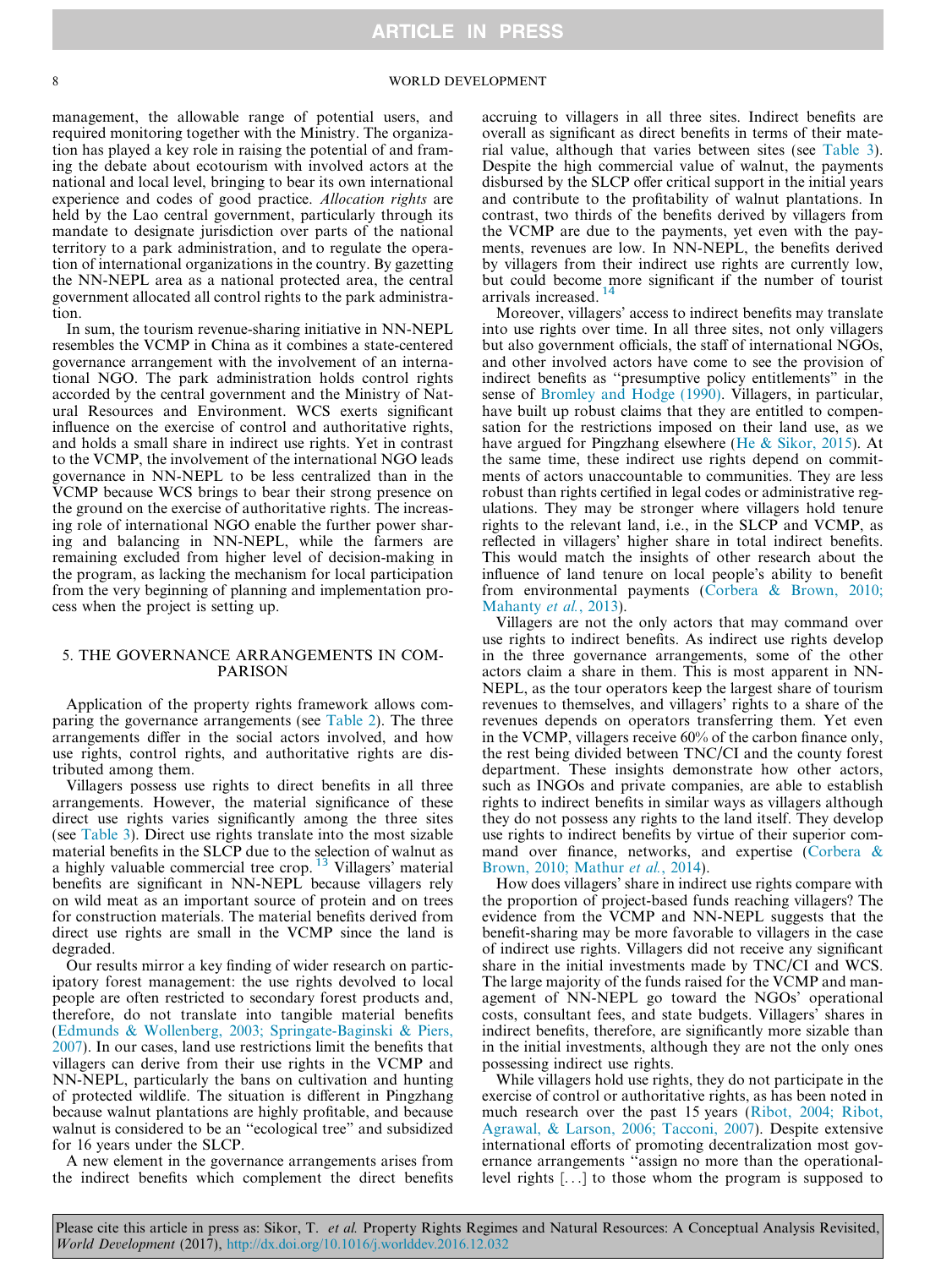management, the allowable range of potential users, and required monitoring together with the Ministry. The organization has played a key role in raising the potential of and framing the debate about ecotourism with involved actors at the national and local level, bringing to bear its own international experience and codes of good practice. Allocation rights are held by the Lao central government, particularly through its mandate to designate jurisdiction over parts of the national territory to a park administration, and to regulate the operation of international organizations in the country. By gazetting the NN-NEPL area as a national protected area, the central government allocated all control rights to the park administration.

In sum, the tourism revenue-sharing initiative in NN-NEPL resembles the VCMP in China as it combines a state-centered governance arrangement with the involvement of an international NGO. The park administration holds control rights accorded by the central government and the Ministry of Natural Resources and Environment. WCS exerts significant influence on the exercise of control and authoritative rights, and holds a small share in indirect use rights. Yet in contrast to the VCMP, the involvement of the international NGO leads governance in NN-NEPL to be less centralized than in the VCMP because WCS brings to bear their strong presence on the ground on the exercise of authoritative rights. The increasing role of international NGO enable the further power sharing and balancing in NN-NEPL, while the farmers are remaining excluded from higher level of decision-making in the program, as lacking the mechanism for local participation from the very beginning of planning and implementation process when the project is setting up.

### 5. THE GOVERNANCE ARRANGEMENTS IN COM-PARISON

Application of the property rights framework allows comparing the governance arrangements (see [Table 2](#page-8-0)). The three arrangements differ in the social actors involved, and how use rights, control rights, and authoritative rights are distributed among them.

Villagers possess use rights to direct benefits in all three arrangements. However, the material significance of these direct use rights varies significantly among the three sites (see [Table 3\)](#page-8-0). Direct use rights translate into the most sizable material benefits in the SLCP due to the selection of walnut as a highly valuable commercial tree crop.<sup>[13](#page-10-0)</sup> Villagers' material benefits are significant in NN-NEPL because villagers rely on wild meat as an important source of protein and on trees for construction materials. The material benefits derived from direct use rights are small in the VCMP since the land is degraded.

Our results mirror a key finding of wider research on participatory forest management: the use rights devolved to local people are often restricted to secondary forest products and, therefore, do not translate into tangible material benefits ([Edmunds & Wollenberg, 2003; Springate-Baginski & Piers,](#page-11-0) [2007\)](#page-11-0). In our cases, land use restrictions limit the benefits that villagers can derive from their use rights in the VCMP and NN-NEPL, particularly the bans on cultivation and hunting of protected wildlife. The situation is different in Pingzhang because walnut plantations are highly profitable, and because walnut is considered to be an ''ecological tree" and subsidized for 16 years under the SLCP.

A new element in the governance arrangements arises from the indirect benefits which complement the direct benefits accruing to villagers in all three sites. Indirect benefits are overall as significant as direct benefits in terms of their material value, although that varies between sites (see [Table 3](#page-8-0)). Despite the high commercial value of walnut, the payments disbursed by the SLCP offer critical support in the initial years and contribute to the profitability of walnut plantations. In contrast, two thirds of the benefits derived by villagers from the VCMP are due to the payments, yet even with the payments, revenues are low. In NN-NEPL, the benefits derived by villagers from their indirect use rights are currently low, but could become more significant if the number of tourist arrivals increased. [14](#page-10-0)

Moreover, villagers' access to indirect benefits may translate into use rights over time. In all three sites, not only villagers but also government officials, the staff of international NGOs, and other involved actors have come to see the provision of indirect benefits as ''presumptive policy entitlements" in the sense of [Bromley and Hodge \(1990\)](#page-11-0). Villagers, in particular, have built up robust claims that they are entitled to compensation for the restrictions imposed on their land use, as we have argued for Pingzhang elsewhere ([He & Sikor, 2015](#page-11-0)). At the same time, these indirect use rights depend on commitments of actors unaccountable to communities. They are less robust than rights certified in legal codes or administrative regulations. They may be stronger where villagers hold tenure rights to the relevant land, i.e., in the SLCP and VCMP, as reflected in villagers' higher share in total indirect benefits. This would match the insights of other research about the influence of land tenure on local people's ability to benefit from environmental payments [\(Corbera & Brown, 2010;](#page-11-0) [Mahanty](#page-11-0) et al., 2013).

Villagers are not the only actors that may command over use rights to indirect benefits. As indirect use rights develop in the three governance arrangements, some of the other actors claim a share in them. This is most apparent in NN-NEPL, as the tour operators keep the largest share of tourism revenues to themselves, and villagers' rights to a share of the revenues depends on operators transferring them. Yet even in the VCMP, villagers receive 60% of the carbon finance only, the rest being divided between TNC/CI and the county forest department. These insights demonstrate how other actors, such as INGOs and private companies, are able to establish rights to indirect benefits in similar ways as villagers although they do not possess any rights to the land itself. They develop use rights to indirect benefits by virtue of their superior command over finance, networks, and expertise ([Corbera &](#page-11-0) [Brown, 2010; Mathur](#page-11-0) et al., 2014).

How does villagers' share in indirect use rights compare with the proportion of project-based funds reaching villagers? The evidence from the VCMP and NN-NEPL suggests that the benefit-sharing may be more favorable to villagers in the case of indirect use rights. Villagers did not receive any significant share in the initial investments made by TNC/CI and WCS. The large majority of the funds raised for the VCMP and management of NN-NEPL go toward the NGOs' operational costs, consultant fees, and state budgets. Villagers' shares in indirect benefits, therefore, are significantly more sizable than in the initial investments, although they are not the only ones possessing indirect use rights.

While villagers hold use rights, they do not participate in the exercise of control or authoritative rights, as has been noted in much research over the past 15 years ([Ribot, 2004; Ribot,](#page-11-0) [Agrawal, & Larson, 2006; Tacconi, 2007](#page-11-0)). Despite extensive international efforts of promoting decentralization most governance arrangements ''assign no more than the operationallevel rights [...] to those whom the program is supposed to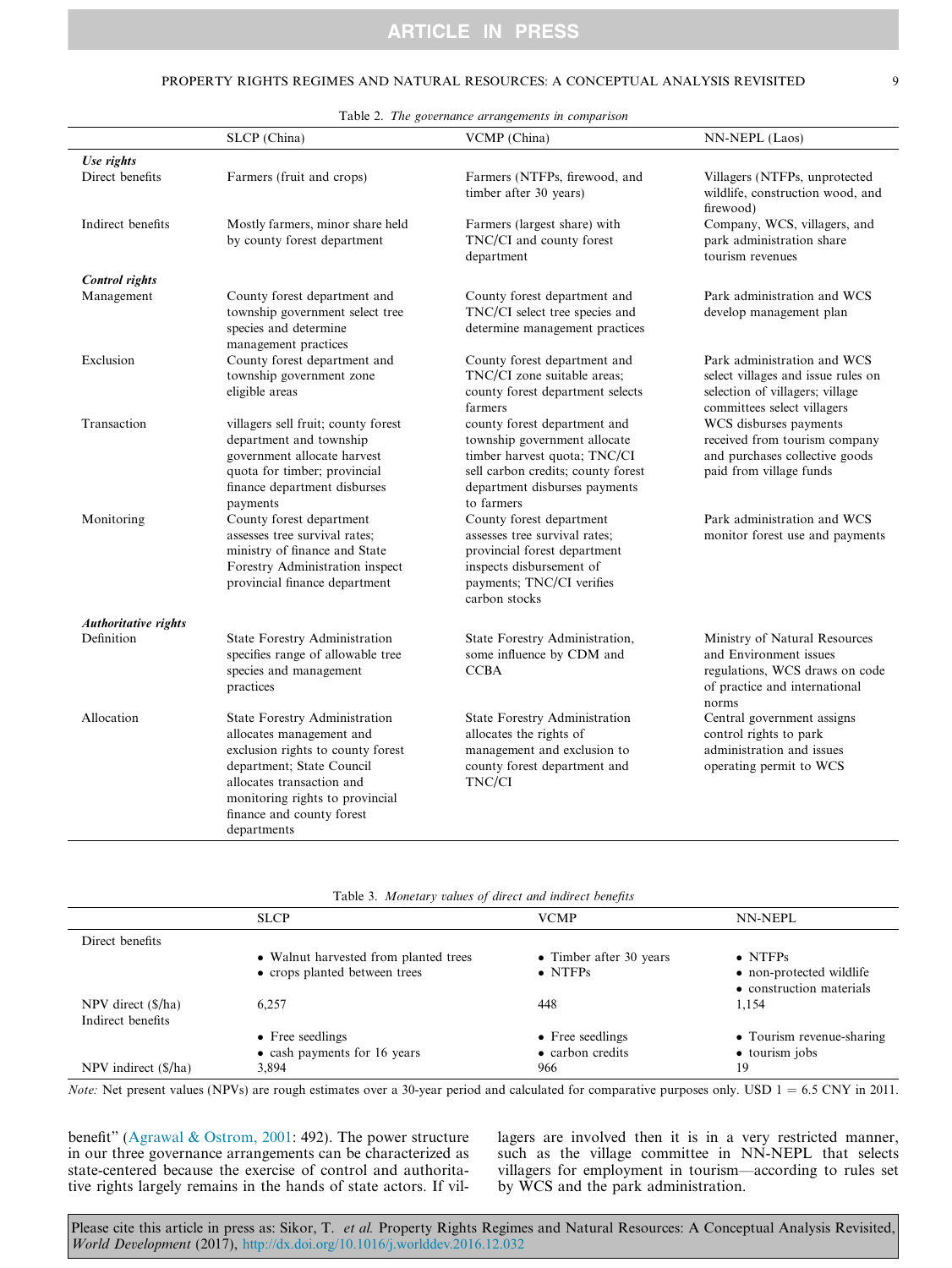## **ARTICLE IN PRESS**

### PROPERTY RIGHTS REGIMES AND NATURAL RESOURCES: A CONCEPTUAL ANALYSIS REVISITED 9

<span id="page-8-0"></span>

|                               | SLCP (China)                                                                                                                                                                                                                                   | VCMP (China)                                                                                                                                                                      | NN-NEPL (Laos)                                                                                                                      |
|-------------------------------|------------------------------------------------------------------------------------------------------------------------------------------------------------------------------------------------------------------------------------------------|-----------------------------------------------------------------------------------------------------------------------------------------------------------------------------------|-------------------------------------------------------------------------------------------------------------------------------------|
| Use rights<br>Direct benefits | Farmers (fruit and crops)                                                                                                                                                                                                                      | Farmers (NTFPs, firewood, and<br>timber after 30 years)                                                                                                                           | Villagers (NTFPs, unprotected<br>wildlife, construction wood, and                                                                   |
| Indirect benefits             | Mostly farmers, minor share held<br>by county forest department                                                                                                                                                                                | Farmers (largest share) with<br>TNC/CI and county forest<br>department                                                                                                            | firewood)<br>Company, WCS, villagers, and<br>park administration share<br>tourism revenues                                          |
| <b>Control</b> rights         |                                                                                                                                                                                                                                                |                                                                                                                                                                                   |                                                                                                                                     |
| Management                    | County forest department and<br>township government select tree<br>species and determine<br>management practices                                                                                                                               | County forest department and<br>TNC/CI select tree species and<br>determine management practices                                                                                  | Park administration and WCS<br>develop management plan                                                                              |
| Exclusion                     | County forest department and<br>township government zone<br>eligible areas                                                                                                                                                                     | County forest department and<br>TNC/CI zone suitable areas;<br>county forest department selects<br>farmers                                                                        | Park administration and WCS<br>select villages and issue rules on<br>selection of villagers; village<br>committees select villagers |
| Transaction                   | villagers sell fruit; county forest<br>department and township<br>government allocate harvest<br>quota for timber; provincial<br>finance department disburses<br>payments                                                                      | county forest department and<br>township government allocate<br>timber harvest quota; TNC/CI<br>sell carbon credits; county forest<br>department disburses payments<br>to farmers | WCS disburses payments<br>received from tourism company<br>and purchases collective goods<br>paid from village funds                |
| Monitoring                    | County forest department<br>assesses tree survival rates:<br>ministry of finance and State<br>Forestry Administration inspect<br>provincial finance department                                                                                 | County forest department<br>assesses tree survival rates;<br>provincial forest department<br>inspects disbursement of<br>payments; TNC/CI verifies<br>carbon stocks               | Park administration and WCS<br>monitor forest use and payments                                                                      |
| <b>Authoritative rights</b>   |                                                                                                                                                                                                                                                |                                                                                                                                                                                   |                                                                                                                                     |
| Definition                    | <b>State Forestry Administration</b><br>specifies range of allowable tree<br>species and management<br>practices                                                                                                                               | State Forestry Administration,<br>some influence by CDM and<br><b>CCBA</b>                                                                                                        | Ministry of Natural Resources<br>and Environment issues<br>regulations, WCS draws on code<br>of practice and international<br>norms |
| Allocation                    | <b>State Forestry Administration</b><br>allocates management and<br>exclusion rights to county forest<br>department; State Council<br>allocates transaction and<br>monitoring rights to provincial<br>finance and county forest<br>departments | <b>State Forestry Administration</b><br>allocates the rights of<br>management and exclusion to<br>county forest department and<br>TNC/CI                                          | Central government assigns<br>control rights to park<br>administration and issues<br>operating permit to WCS                        |

### Table 2. The governance arrangements in comparison

|  | Table 3. Monetary values of direct and indirect benefits |  |  |  |  |  |  |
|--|----------------------------------------------------------|--|--|--|--|--|--|
|--|----------------------------------------------------------|--|--|--|--|--|--|

|                               | <b>SLCP</b>                           | <b>VCMP</b>             | NN-NEPL                   |
|-------------------------------|---------------------------------------|-------------------------|---------------------------|
| Direct benefits               |                                       |                         |                           |
|                               | • Walnut harvested from planted trees | • Timber after 30 years | $\bullet$ NTFPs           |
|                               | • crops planted between trees         | $\bullet$ NTFPs         | • non-protected wildlife  |
|                               |                                       |                         | • construction materials  |
| NPV direct $(\frac{5}{ha})$   | 6.257                                 | 448                     | 1,154                     |
| Indirect benefits             |                                       |                         |                           |
|                               | • Free seedlings                      | • Free seedlings        | • Tourism revenue-sharing |
|                               | • cash payments for 16 years          | • carbon credits        | • tourism jobs            |
| NPV indirect $(\frac{5}{ha})$ | 3.894                                 | 966                     | 19                        |

*Note:* Net present values (NPVs) are rough estimates over a 30-year period and calculated for comparative purposes only. USD  $1 = 6.5$  CNY in 2011.

benefit" [\(Agrawal & Ostrom, 2001](#page-11-0): 492). The power structure in our three governance arrangements can be characterized as state-centered because the exercise of control and authoritative rights largely remains in the hands of state actors. If villagers are involved then it is in a very restricted manner, such as the village committee in NN-NEPL that selects villagers for employment in tourism—according to rules set by WCS and the park administration.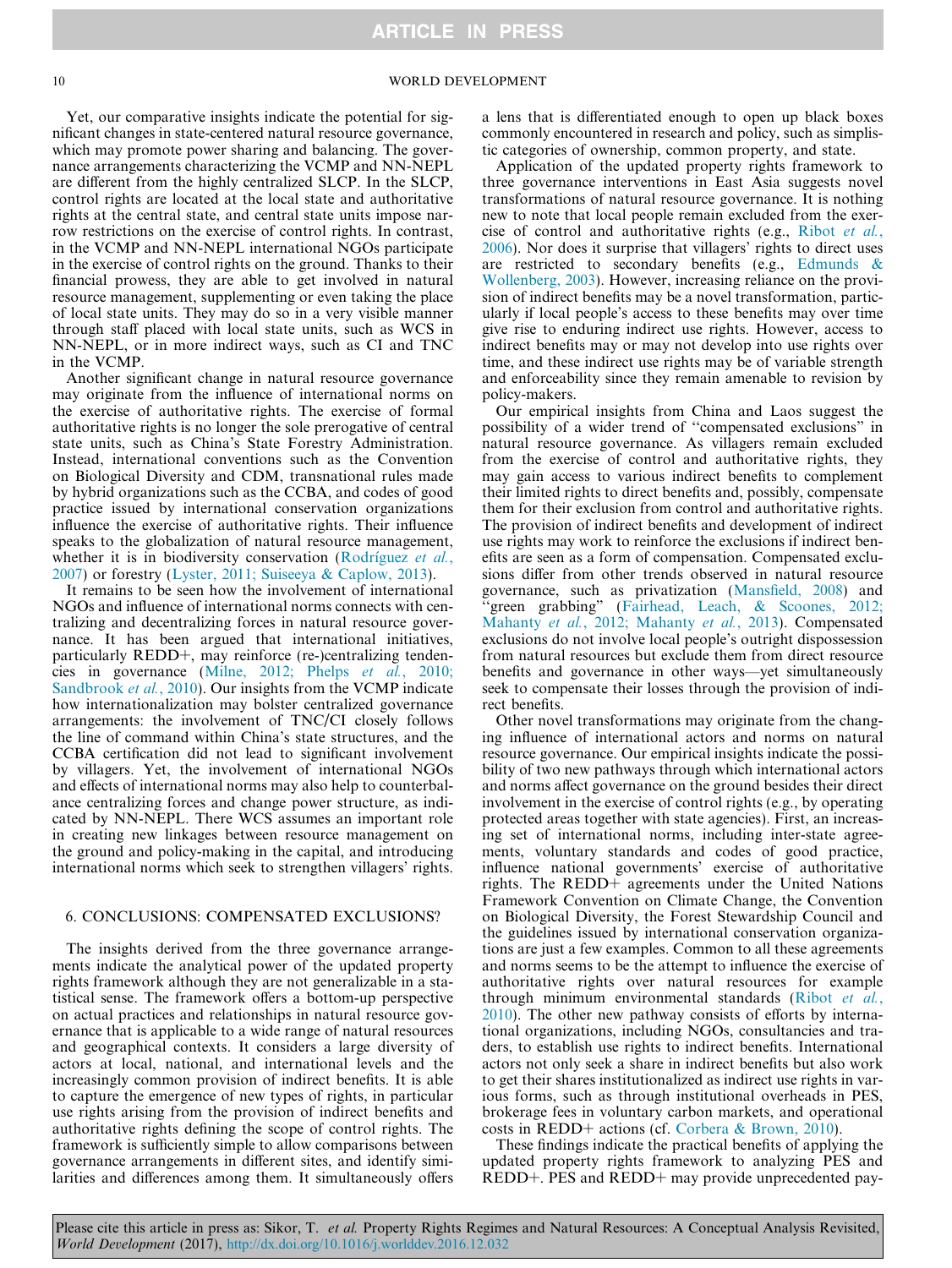Yet, our comparative insights indicate the potential for significant changes in state-centered natural resource governance, which may promote power sharing and balancing. The governance arrangements characterizing the VCMP and NN-NEPL are different from the highly centralized SLCP. In the SLCP, control rights are located at the local state and authoritative rights at the central state, and central state units impose narrow restrictions on the exercise of control rights. In contrast, in the VCMP and NN-NEPL international NGOs participate in the exercise of control rights on the ground. Thanks to their financial prowess, they are able to get involved in natural resource management, supplementing or even taking the place of local state units. They may do so in a very visible manner through staff placed with local state units, such as WCS in NN-NEPL, or in more indirect ways, such as CI and TNC in the VCMP.

Another significant change in natural resource governance may originate from the influence of international norms on the exercise of authoritative rights. The exercise of formal authoritative rights is no longer the sole prerogative of central state units, such as China's State Forestry Administration. Instead, international conventions such as the Convention on Biological Diversity and CDM, transnational rules made by hybrid organizations such as the CCBA, and codes of good practice issued by international conservation organizations influence the exercise of authoritative rights. Their influence speaks to the globalization of natural resource management, whether it is in biodiversity conservation (Rodríguez et al., [2007\)](#page-12-0) or forestry ([Lyster, 2011; Suiseeya & Caplow, 2013\)](#page-11-0).

It remains to be seen how the involvement of international NGOs and influence of international norms connects with centralizing and decentralizing forces in natural resource governance. It has been argued that international initiatives, particularly REDD+, may reinforce (re-)centralizing tendencies in governance [\(Milne, 2012; Phelps](#page-11-0) et al., 2010; [Sandbrook](#page-11-0) et al., 2010). Our insights from the VCMP indicate how internationalization may bolster centralized governance arrangements: the involvement of TNC/CI closely follows the line of command within China's state structures, and the CCBA certification did not lead to significant involvement by villagers. Yet, the involvement of international NGOs and effects of international norms may also help to counterbalance centralizing forces and change power structure, as indicated by NN-NEPL. There WCS assumes an important role in creating new linkages between resource management on the ground and policy-making in the capital, and introducing international norms which seek to strengthen villagers' rights.

### 6. CONCLUSIONS: COMPENSATED EXCLUSIONS?

The insights derived from the three governance arrangements indicate the analytical power of the updated property rights framework although they are not generalizable in a statistical sense. The framework offers a bottom-up perspective on actual practices and relationships in natural resource governance that is applicable to a wide range of natural resources and geographical contexts. It considers a large diversity of actors at local, national, and international levels and the increasingly common provision of indirect benefits. It is able to capture the emergence of new types of rights, in particular use rights arising from the provision of indirect benefits and authoritative rights defining the scope of control rights. The framework is sufficiently simple to allow comparisons between governance arrangements in different sites, and identify similarities and differences among them. It simultaneously offers a lens that is differentiated enough to open up black boxes commonly encountered in research and policy, such as simplistic categories of ownership, common property, and state.

Application of the updated property rights framework to three governance interventions in East Asia suggests novel transformations of natural resource governance. It is nothing new to note that local people remain excluded from the exercise of control and authoritative rights (e.g., [Ribot](#page-11-0) et al., [2006\)](#page-11-0). Nor does it surprise that villagers' rights to direct uses are restricted to secondary benefits (e.g., [Edmunds &](#page-11-0) [Wollenberg, 2003\)](#page-11-0). However, increasing reliance on the provision of indirect benefits may be a novel transformation, particularly if local people's access to these benefits may over time give rise to enduring indirect use rights. However, access to indirect benefits may or may not develop into use rights over time, and these indirect use rights may be of variable strength and enforceability since they remain amenable to revision by policy-makers.

Our empirical insights from China and Laos suggest the possibility of a wider trend of ''compensated exclusions" in natural resource governance. As villagers remain excluded from the exercise of control and authoritative rights, they may gain access to various indirect benefits to complement their limited rights to direct benefits and, possibly, compensate them for their exclusion from control and authoritative rights. The provision of indirect benefits and development of indirect use rights may work to reinforce the exclusions if indirect benefits are seen as a form of compensation. Compensated exclusions differ from other trends observed in natural resource governance, such as privatization [\(Mansfield, 2008\)](#page-11-0) and 'green grabbing" [\(Fairhead, Leach, & Scoones, 2012;](#page-11-0) Mahanty et al.[, 2012; Mahanty](#page-11-0) et al., 2013). Compensated exclusions do not involve local people's outright dispossession from natural resources but exclude them from direct resource benefits and governance in other ways—yet simultaneously seek to compensate their losses through the provision of indirect benefits.

Other novel transformations may originate from the changing influence of international actors and norms on natural resource governance. Our empirical insights indicate the possibility of two new pathways through which international actors and norms affect governance on the ground besides their direct involvement in the exercise of control rights (e.g., by operating protected areas together with state agencies). First, an increasing set of international norms, including inter-state agreements, voluntary standards and codes of good practice, influence national governments' exercise of authoritative rights. The REDD+ agreements under the United Nations Framework Convention on Climate Change, the Convention on Biological Diversity, the Forest Stewardship Council and the guidelines issued by international conservation organizations are just a few examples. Common to all these agreements and norms seems to be the attempt to influence the exercise of authoritative rights over natural resources for example through minimum environmental standards ([Ribot](#page-11-0) et al., [2010\)](#page-11-0). The other new pathway consists of efforts by international organizations, including NGOs, consultancies and traders, to establish use rights to indirect benefits. International actors not only seek a share in indirect benefits but also work to get their shares institutionalized as indirect use rights in various forms, such as through institutional overheads in PES, brokerage fees in voluntary carbon markets, and operational costs in REDD+ actions (cf. [Corbera & Brown, 2010\)](#page-11-0).

These findings indicate the practical benefits of applying the updated property rights framework to analyzing PES and REDD+. PES and REDD+ may provide unprecedented pay-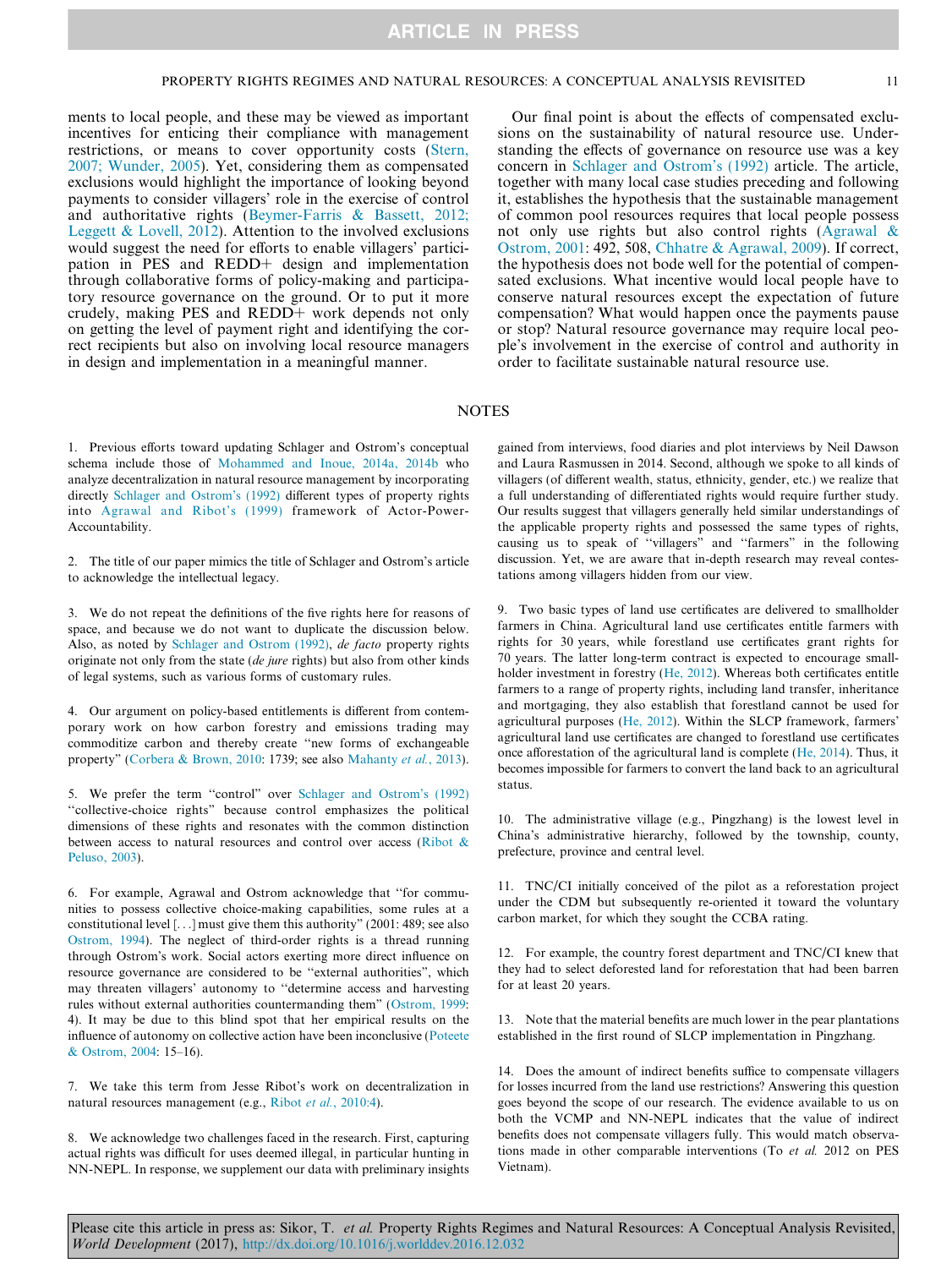### PROPERTY RIGHTS REGIMES AND NATURAL RESOURCES: A CONCEPTUAL ANALYSIS REVISITED 11

<span id="page-10-0"></span>ments to local people, and these may be viewed as important incentives for enticing their compliance with management restrictions, or means to cover opportunity costs ([Stern,](#page-12-0) [2007; Wunder, 2005](#page-12-0)). Yet, considering them as compensated exclusions would highlight the importance of looking beyond payments to consider villagers' role in the exercise of control and authoritative rights ([Beymer-Farris & Bassett, 2012;](#page-11-0) Leggett  $& Lovell, 2012$ . Attention to the involved exclusions would suggest the need for efforts to enable villagers' participation in PES and REDD+ design and implementation through collaborative forms of policy-making and participatory resource governance on the ground. Or to put it more crudely, making PES and REDD+ work depends not only on getting the level of payment right and identifying the correct recipients but also on involving local resource managers in design and implementation in a meaningful manner.

Our final point is about the effects of compensated exclusions on the sustainability of natural resource use. Understanding the effects of governance on resource use was a key concern in [Schlager and Ostrom's \(1992\)](#page-12-0) article. The article, together with many local case studies preceding and following it, establishes the hypothesis that the sustainable management of common pool resources requires that local people possess not only use rights but also control rights [\(Agrawal &](#page-11-0) [Ostrom, 2001](#page-11-0): 492, 508, [Chhatre & Agrawal, 2009](#page-11-0)). If correct, the hypothesis does not bode well for the potential of compensated exclusions. What incentive would local people have to conserve natural resources except the expectation of future compensation? What would happen once the payments pause or stop? Natural resource governance may require local people's involvement in the exercise of control and authority in order to facilitate sustainable natural resource use.

### **NOTES**

1. Previous efforts toward updating Schlager and Ostrom's conceptual schema include those of [Mohammed and Inoue, 2014a, 2014b](#page-11-0) who analyze decentralization in natural resource management by incorporating directly [Schlager and Ostrom's \(1992\)](#page-12-0) different types of property rights into [Agrawal and Ribot's \(1999\)](#page-11-0) framework of Actor-Power-Accountability.

2. The title of our paper mimics the title of Schlager and Ostrom's article to acknowledge the intellectual legacy.

3. We do not repeat the definitions of the five rights here for reasons of space, and because we do not want to duplicate the discussion below. Also, as noted by [Schlager and Ostrom \(1992\),](#page-12-0) de facto property rights originate not only from the state (de jure rights) but also from other kinds of legal systems, such as various forms of customary rules.

4. Our argument on policy-based entitlements is different from contemporary work on how carbon forestry and emissions trading may commoditize carbon and thereby create ''new forms of exchangeable property" [\(Corbera & Brown, 2010:](#page-11-0) 1739; see also [Mahanty](#page-11-0) et al., 2013).

5. We prefer the term ''control" over [Schlager and Ostrom's \(1992\)](#page-12-0) ''collective-choice rights" because control emphasizes the political dimensions of these rights and resonates with the common distinction between access to natural resources and control over access ([Ribot &](#page-11-0) [Peluso, 2003](#page-11-0)).

6. For example, Agrawal and Ostrom acknowledge that ''for communities to possess collective choice-making capabilities, some rules at a constitutional level [...] must give them this authority" (2001: 489; see also [Ostrom, 1994\)](#page-11-0). The neglect of third-order rights is a thread running through Ostrom's work. Social actors exerting more direct influence on resource governance are considered to be ''external authorities", which may threaten villagers' autonomy to ''determine access and harvesting rules without external authorities countermanding them" ([Ostrom, 1999](#page-11-0): 4). It may be due to this blind spot that her empirical results on the influence of autonomy on collective action have been inconclusive ([Poteete](#page-11-0) [& Ostrom, 2004:](#page-11-0) 15–16).

7. We take this term from Jesse Ribot's work on decentralization in natural resources management (e.g., Ribot et al.[, 2010:4](#page-11-0)).

8. We acknowledge two challenges faced in the research. First, capturing actual rights was difficult for uses deemed illegal, in particular hunting in NN-NEPL. In response, we supplement our data with preliminary insights gained from interviews, food diaries and plot interviews by Neil Dawson and Laura Rasmussen in 2014. Second, although we spoke to all kinds of villagers (of different wealth, status, ethnicity, gender, etc.) we realize that a full understanding of differentiated rights would require further study. Our results suggest that villagers generally held similar understandings of the applicable property rights and possessed the same types of rights, causing us to speak of ''villagers" and ''farmers" in the following discussion. Yet, we are aware that in-depth research may reveal contestations among villagers hidden from our view.

9. Two basic types of land use certificates are delivered to smallholder farmers in China. Agricultural land use certificates entitle farmers with rights for 30 years, while forestland use certificates grant rights for 70 years. The latter long-term contract is expected to encourage smallholder investment in forestry ([He, 2012](#page-11-0)). Whereas both certificates entitle farmers to a range of property rights, including land transfer, inheritance and mortgaging, they also establish that forestland cannot be used for agricultural purposes ([He, 2012\)](#page-11-0). Within the SLCP framework, farmers' agricultural land use certificates are changed to forestland use certificates once afforestation of the agricultural land is complete ([He, 2014](#page-11-0)). Thus, it becomes impossible for farmers to convert the land back to an agricultural status.

10. The administrative village (e.g., Pingzhang) is the lowest level in China's administrative hierarchy, followed by the township, county, prefecture, province and central level.

11. TNC/CI initially conceived of the pilot as a reforestation project under the CDM but subsequently re-oriented it toward the voluntary carbon market, for which they sought the CCBA rating.

12. For example, the country forest department and TNC/CI knew that they had to select deforested land for reforestation that had been barren for at least 20 years.

13. Note that the material benefits are much lower in the pear plantations established in the first round of SLCP implementation in Pingzhang.

14. Does the amount of indirect benefits suffice to compensate villagers for losses incurred from the land use restrictions? Answering this question goes beyond the scope of our research. The evidence available to us on both the VCMP and NN-NEPL indicates that the value of indirect benefits does not compensate villagers fully. This would match observations made in other comparable interventions (To et al. 2012 on PES Vietnam).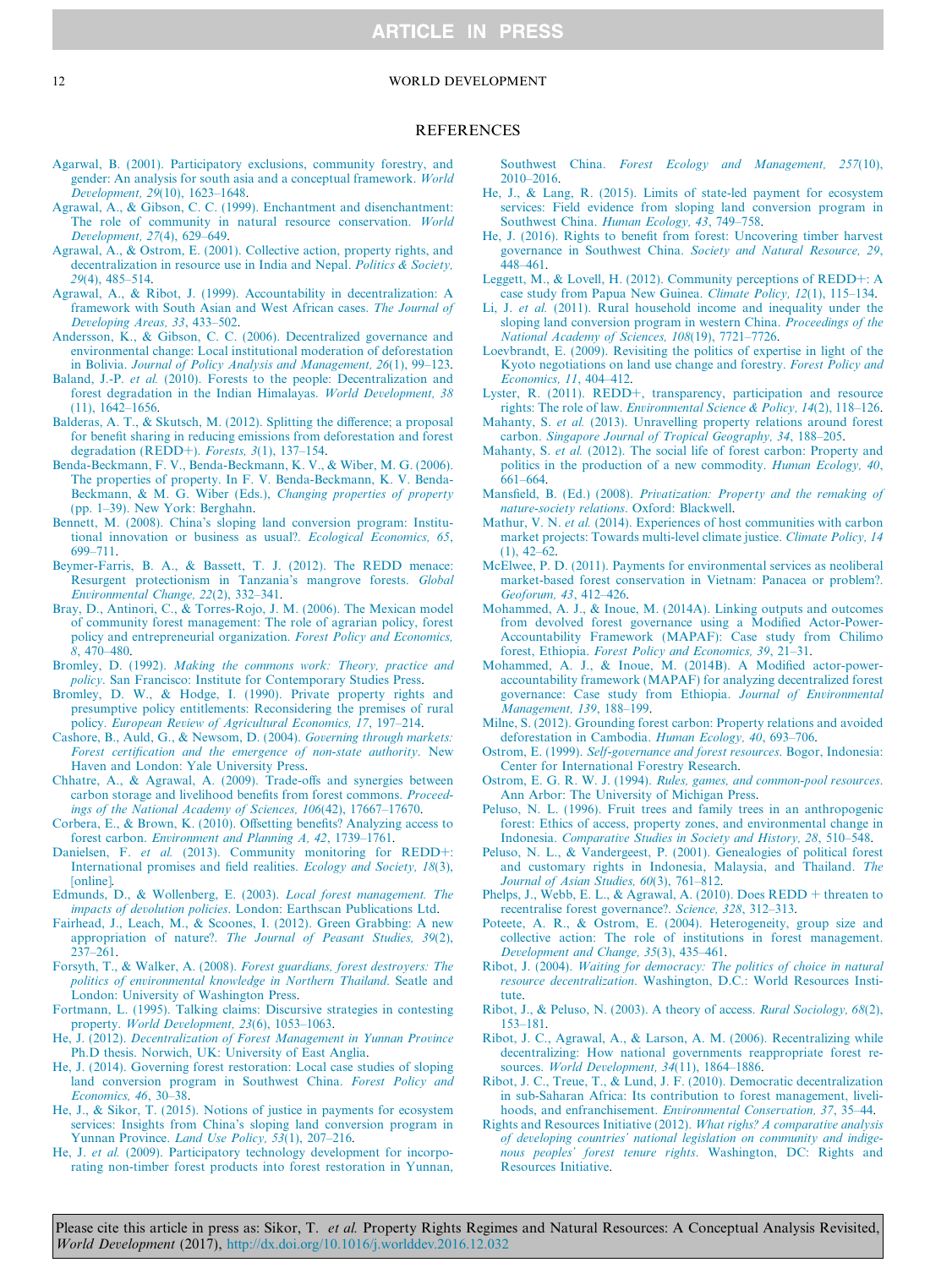### **ARTICLE IN PRESS**

### <span id="page-11-0"></span>12 WORLD DEVELOPMENT

### **REFERENCES**

- [Agarwal, B. \(2001\). Participatory exclusions, community forestry, and](http://refhub.elsevier.com/S0305-750X(16)30580-0/h0005) [gender: An analysis for south asia and a conceptual framework.](http://refhub.elsevier.com/S0305-750X(16)30580-0/h0005) World [Development, 29](http://refhub.elsevier.com/S0305-750X(16)30580-0/h0005)(10[\), 1623–1648.](http://refhub.elsevier.com/S0305-750X(16)30580-0/h0005)
- [Agrawal, A., & Gibson, C. C. \(1999\). Enchantment and disenchantment:](http://refhub.elsevier.com/S0305-750X(16)30580-0/h0010) [The role of community in natural resource conservation.](http://refhub.elsevier.com/S0305-750X(16)30580-0/h0010) World [Development, 27](http://refhub.elsevier.com/S0305-750X(16)30580-0/h0010)(4[\), 629–649.](http://refhub.elsevier.com/S0305-750X(16)30580-0/h0010)
- [Agrawal, A., & Ostrom, E. \(2001\). Collective action, property rights, and](http://refhub.elsevier.com/S0305-750X(16)30580-0/h0015) [decentralization in resource use in India and Nepal.](http://refhub.elsevier.com/S0305-750X(16)30580-0/h0015) Politics & Society, 29[\(4\), 485–514](http://refhub.elsevier.com/S0305-750X(16)30580-0/h0015).
- [Agrawal, A., & Ribot, J. \(1999\). Accountability in decentralization: A](http://refhub.elsevier.com/S0305-750X(16)30580-0/h0020) [framework with South Asian and West African cases.](http://refhub.elsevier.com/S0305-750X(16)30580-0/h0020) The Journal of [Developing Areas, 33](http://refhub.elsevier.com/S0305-750X(16)30580-0/h0020)[, 433–502](http://refhub.elsevier.com/S0305-750X(16)30580-0/h0020).
- [Andersson, K., & Gibson, C. C. \(2006\). Decentralized governance and](http://refhub.elsevier.com/S0305-750X(16)30580-0/h0025) [environmental change: Local institutional moderation of deforestation](http://refhub.elsevier.com/S0305-750X(16)30580-0/h0025) in Bolivia. [Journal of Policy Analysis and Management, 26](http://refhub.elsevier.com/S0305-750X(16)30580-0/h0025)(1[\), 99–123.](http://refhub.elsevier.com/S0305-750X(16)30580-0/h0025)
- Baland, J.-P. et al. [\(2010\). Forests to the people: Decentralization and](http://refhub.elsevier.com/S0305-750X(16)30580-0/h0030) [forest degradation in the Indian Himalayas.](http://refhub.elsevier.com/S0305-750X(16)30580-0/h0030) World Development, 38 [\(11\), 1642–1656](http://refhub.elsevier.com/S0305-750X(16)30580-0/h0030).
- [Balderas, A. T., & Skutsch, M. \(2012\). Splitting the difference; a proposal](http://refhub.elsevier.com/S0305-750X(16)30580-0/h0035) [for benefit sharing in reducing emissions from deforestation and forest](http://refhub.elsevier.com/S0305-750X(16)30580-0/h0035) [degradation \(REDD+\).](http://refhub.elsevier.com/S0305-750X(16)30580-0/h0035) Forests, 3(1)[, 137–154](http://refhub.elsevier.com/S0305-750X(16)30580-0/h0035).
- [Benda-Beckmann, F. V., Benda-Beckmann, K. V., & Wiber, M. G. \(2006\).](http://refhub.elsevier.com/S0305-750X(16)30580-0/h0040) [The properties of property. In F. V. Benda-Beckmann, K. V. Benda-](http://refhub.elsevier.com/S0305-750X(16)30580-0/h0040)[Beckmann, & M. G. Wiber \(Eds.\),](http://refhub.elsevier.com/S0305-750X(16)30580-0/h0040) Changing properties of property [\(pp. 1–39\). New York: Berghahn](http://refhub.elsevier.com/S0305-750X(16)30580-0/h0040).
- [Bennett, M. \(2008\). China's sloping land conversion program: Institu](http://refhub.elsevier.com/S0305-750X(16)30580-0/h0045)[tional innovation or business as usual?.](http://refhub.elsevier.com/S0305-750X(16)30580-0/h0045) Ecological Economics, 65[,](http://refhub.elsevier.com/S0305-750X(16)30580-0/h0045) [699–711](http://refhub.elsevier.com/S0305-750X(16)30580-0/h0045).
- [Beymer-Farris, B. A., & Bassett, T. J. \(2012\). The REDD menace:](http://refhub.elsevier.com/S0305-750X(16)30580-0/h0050) [Resurgent protectionism in Tanzania's mangrove forests.](http://refhub.elsevier.com/S0305-750X(16)30580-0/h0050) Global [Environmental Change, 22](http://refhub.elsevier.com/S0305-750X(16)30580-0/h0050)(2[\), 332–341](http://refhub.elsevier.com/S0305-750X(16)30580-0/h0050).
- [Bray, D., Antinori, C., & Torres-Rojo, J. M. \(2006\). The Mexican model](http://refhub.elsevier.com/S0305-750X(16)30580-0/h0055) [of community forest management: The role of agrarian policy, forest](http://refhub.elsevier.com/S0305-750X(16)30580-0/h0055) [policy and entrepreneurial organization.](http://refhub.elsevier.com/S0305-750X(16)30580-0/h0055) Forest Policy and Economics, [8](http://refhub.elsevier.com/S0305-750X(16)30580-0/h0055)[, 470–480.](http://refhub.elsevier.com/S0305-750X(16)30580-0/h0055)
- Bromley, D. (1992). [Making the commons work: Theory, practice and](http://refhub.elsevier.com/S0305-750X(16)30580-0/h0060) [policy](http://refhub.elsevier.com/S0305-750X(16)30580-0/h0060)[. San Francisco: Institute for Contemporary Studies Press.](http://refhub.elsevier.com/S0305-750X(16)30580-0/h0060)
- [Bromley, D. W., & Hodge, I. \(1990\). Private property rights and](http://refhub.elsevier.com/S0305-750X(16)30580-0/h0065) [presumptive policy entitlements: Reconsidering the premises of rural](http://refhub.elsevier.com/S0305-750X(16)30580-0/h0065) policy. [European Review of Agricultural Economics, 17](http://refhub.elsevier.com/S0305-750X(16)30580-0/h0065)[, 197–214](http://refhub.elsevier.com/S0305-750X(16)30580-0/h0065).
- [Cashore, B., Auld, G., & Newsom, D. \(2004\).](http://refhub.elsevier.com/S0305-750X(16)30580-0/h0070) Governing through markets: [Forest certification and the emergence of non-state authority](http://refhub.elsevier.com/S0305-750X(16)30580-0/h0070)[. New](http://refhub.elsevier.com/S0305-750X(16)30580-0/h0070) [Haven and London: Yale University Press.](http://refhub.elsevier.com/S0305-750X(16)30580-0/h0070)
- [Chhatre, A., & Agrawal, A. \(2009\). Trade-offs and synergies between](http://refhub.elsevier.com/S0305-750X(16)30580-0/h0075) [carbon storage and livelihood benefits from forest commons.](http://refhub.elsevier.com/S0305-750X(16)30580-0/h0075) Proceed[ings of the National Academy of Sciences, 106](http://refhub.elsevier.com/S0305-750X(16)30580-0/h0075)(42[\), 17667–17670.](http://refhub.elsevier.com/S0305-750X(16)30580-0/h0075)
- [Corbera, E., & Brown, K. \(2010\). Offsetting benefits? Analyzing access to](http://refhub.elsevier.com/S0305-750X(16)30580-0/h0080) forest carbon. [Environment and Planning A, 42](http://refhub.elsevier.com/S0305-750X(16)30580-0/h0080)[, 1739–1761](http://refhub.elsevier.com/S0305-750X(16)30580-0/h0080).
- Danielsen, F. et al. [\(2013\). Community monitoring for REDD+:](http://refhub.elsevier.com/S0305-750X(16)30580-0/h0085) [International promises and field realities.](http://refhub.elsevier.com/S0305-750X(16)30580-0/h0085) Ecology and Society, 18(3)[,](http://refhub.elsevier.com/S0305-750X(16)30580-0/h0085) [\[online\].](http://refhub.elsevier.com/S0305-750X(16)30580-0/h0085)
- [Edmunds, D., & Wollenberg, E. \(2003\).](http://refhub.elsevier.com/S0305-750X(16)30580-0/h0090) Local forest management. The [impacts of devolution policies](http://refhub.elsevier.com/S0305-750X(16)30580-0/h0090)[. London: Earthscan Publications Ltd](http://refhub.elsevier.com/S0305-750X(16)30580-0/h0090).
- [Fairhead, J., Leach, M., & Scoones, I. \(2012\). Green Grabbing: A new](http://refhub.elsevier.com/S0305-750X(16)30580-0/h0095) appropriation of nature?. [The Journal of Peasant Studies, 39](http://refhub.elsevier.com/S0305-750X(16)30580-0/h0095)(2)[,](http://refhub.elsevier.com/S0305-750X(16)30580-0/h0095) [237–261](http://refhub.elsevier.com/S0305-750X(16)30580-0/h0095).
- Forsyth, T., & Walker, A. (2008). [Forest guardians, forest destroyers: The](http://refhub.elsevier.com/S0305-750X(16)30580-0/h0100) [politics of environmental knowledge in Northern Thailand](http://refhub.elsevier.com/S0305-750X(16)30580-0/h0100)[. Seatle and](http://refhub.elsevier.com/S0305-750X(16)30580-0/h0100) [London: University of Washington Press](http://refhub.elsevier.com/S0305-750X(16)30580-0/h0100).
- [Fortmann, L. \(1995\). Talking claims: Discursive strategies in contesting](http://refhub.elsevier.com/S0305-750X(16)30580-0/h0105) property. [World Development, 23](http://refhub.elsevier.com/S0305-750X(16)30580-0/h0105)(6[\), 1053–1063.](http://refhub.elsevier.com/S0305-750X(16)30580-0/h0105)
- He, J. (2012). [Decentralization of Forest Management in Yunnan Province](http://refhub.elsevier.com/S0305-750X(16)30580-0/h9000) [Ph.D thesis. Norwich, UK: University of East Anglia](http://refhub.elsevier.com/S0305-750X(16)30580-0/h9000).
- [He, J. \(2014\). Governing forest restoration: Local case studies of sloping](http://refhub.elsevier.com/S0305-750X(16)30580-0/h0110) [land conversion program in Southwest China.](http://refhub.elsevier.com/S0305-750X(16)30580-0/h0110) Forest Policy and [Economics, 46](http://refhub.elsevier.com/S0305-750X(16)30580-0/h0110)[, 30–38](http://refhub.elsevier.com/S0305-750X(16)30580-0/h0110).
- [He, J., & Sikor, T. \(2015\). Notions of justice in payments for ecosystem](http://refhub.elsevier.com/S0305-750X(16)30580-0/h0115) [services: Insights from China's sloping land conversion program in](http://refhub.elsevier.com/S0305-750X(16)30580-0/h0115) Yunnan Province. [Land Use Policy, 53](http://refhub.elsevier.com/S0305-750X(16)30580-0/h0115)(1[\), 207–216](http://refhub.elsevier.com/S0305-750X(16)30580-0/h0115).
- He, J. et al. [\(2009\). Participatory technology development for incorpo](http://refhub.elsevier.com/S0305-750X(16)30580-0/h0120)[rating non-timber forest products into forest restoration in Yunnan,](http://refhub.elsevier.com/S0305-750X(16)30580-0/h0120)

Southwest China. [Forest Ecology and Management, 257](http://refhub.elsevier.com/S0305-750X(16)30580-0/h0120)(10)[,](http://refhub.elsevier.com/S0305-750X(16)30580-0/h0120) [2010–2016](http://refhub.elsevier.com/S0305-750X(16)30580-0/h0120).

- [He, J., & Lang, R. \(2015\). Limits of state-led payment for ecosystem](http://refhub.elsevier.com/S0305-750X(16)30580-0/h0125) [services: Field evidence from sloping land conversion program in](http://refhub.elsevier.com/S0305-750X(16)30580-0/h0125) Southwest China. [Human Ecology, 43](http://refhub.elsevier.com/S0305-750X(16)30580-0/h0125)[, 749–758.](http://refhub.elsevier.com/S0305-750X(16)30580-0/h0125)
- [He, J. \(2016\). Rights to benefit from forest: Uncovering timber harvest](http://refhub.elsevier.com/S0305-750X(16)30580-0/h0130) governance in Southwest China. [Society and Natural Resource, 29](http://refhub.elsevier.com/S0305-750X(16)30580-0/h0130)[,](http://refhub.elsevier.com/S0305-750X(16)30580-0/h0130) [448–461](http://refhub.elsevier.com/S0305-750X(16)30580-0/h0130).
- [Leggett, M., & Lovell, H. \(2012\). Community perceptions of REDD+: A](http://refhub.elsevier.com/S0305-750X(16)30580-0/h0135) [case study from Papua New Guinea.](http://refhub.elsevier.com/S0305-750X(16)30580-0/h0135) Climate Policy, 12(1)[, 115–134](http://refhub.elsevier.com/S0305-750X(16)30580-0/h0135).
- Li, J. et al. [\(2011\). Rural household income and inequality under the](http://refhub.elsevier.com/S0305-750X(16)30580-0/h0140) [sloping land conversion program in western China.](http://refhub.elsevier.com/S0305-750X(16)30580-0/h0140) Proceedings of the [National Academy of Sciences, 108](http://refhub.elsevier.com/S0305-750X(16)30580-0/h0140)(19[\), 7721–7726](http://refhub.elsevier.com/S0305-750X(16)30580-0/h0140).
- [Loevbrandt, E. \(2009\). Revisiting the politics of expertise in light of the](http://refhub.elsevier.com/S0305-750X(16)30580-0/h0145) [Kyoto negotiations on land use change and forestry.](http://refhub.elsevier.com/S0305-750X(16)30580-0/h0145) Forest Policy and [Economics, 11](http://refhub.elsevier.com/S0305-750X(16)30580-0/h0145)[, 404–412](http://refhub.elsevier.com/S0305-750X(16)30580-0/h0145).
- [Lyster, R. \(2011\). REDD+, transparency, participation and resource](http://refhub.elsevier.com/S0305-750X(16)30580-0/h0150) rights: The role of law. [Environmental Science & Policy, 14](http://refhub.elsevier.com/S0305-750X(16)30580-0/h0150)(2)[, 118–126.](http://refhub.elsevier.com/S0305-750X(16)30580-0/h0150)
- Mahanty, S. et al. [\(2013\). Unravelling property relations around forest](http://refhub.elsevier.com/S0305-750X(16)30580-0/h0155) carbon. [Singapore Journal of Tropical Geography, 34](http://refhub.elsevier.com/S0305-750X(16)30580-0/h0155)[, 188–205](http://refhub.elsevier.com/S0305-750X(16)30580-0/h0155).
- Mahanty, S. et al. [\(2012\). The social life of forest carbon: Property and](http://refhub.elsevier.com/S0305-750X(16)30580-0/h0160) [politics in the production of a new commodity.](http://refhub.elsevier.com/S0305-750X(16)30580-0/h0160) Human Ecology, 40[,](http://refhub.elsevier.com/S0305-750X(16)30580-0/h0160) [661–664](http://refhub.elsevier.com/S0305-750X(16)30580-0/h0160).
- Mansfield, B. (Ed.) (2008). [Privatization: Property and the remaking of](http://refhub.elsevier.com/S0305-750X(16)30580-0/h0165) [nature-society relations](http://refhub.elsevier.com/S0305-750X(16)30580-0/h0165)[. Oxford: Blackwell.](http://refhub.elsevier.com/S0305-750X(16)30580-0/h0165)
- Mathur, V. N. et al. [\(2014\). Experiences of host communities with carbon](http://refhub.elsevier.com/S0305-750X(16)30580-0/h0170) [market projects: Towards multi-level climate justice.](http://refhub.elsevier.com/S0305-750X(16)30580-0/h0170) Climate Policy, 14  $(1), 42-62.$
- [McElwee, P. D. \(2011\). Payments for environmental services as neoliberal](http://refhub.elsevier.com/S0305-750X(16)30580-0/h0175) [market-based forest conservation in Vietnam: Panacea or problem?.](http://refhub.elsevier.com/S0305-750X(16)30580-0/h0175) [Geoforum, 43](http://refhub.elsevier.com/S0305-750X(16)30580-0/h0175)[, 412–426.](http://refhub.elsevier.com/S0305-750X(16)30580-0/h0175)
- [Mohammed, A. J., & Inoue, M. \(2014A\). Linking outputs and outcomes](http://refhub.elsevier.com/S0305-750X(16)30580-0/h0180) [from devolved forest governance using a Modified Actor-Power-](http://refhub.elsevier.com/S0305-750X(16)30580-0/h0180)[Accountability Framework \(MAPAF\): Case study from Chilimo](http://refhub.elsevier.com/S0305-750X(16)30580-0/h0180) forest, Ethiopia. [Forest Policy and Economics, 39](http://refhub.elsevier.com/S0305-750X(16)30580-0/h0180)[, 21–31](http://refhub.elsevier.com/S0305-750X(16)30580-0/h0180).
- [Mohammed, A. J., & Inoue, M. \(2014B\). A Modified actor-power](http://refhub.elsevier.com/S0305-750X(16)30580-0/h0185)[accountability framework \(MAPAF\) for analyzing decentralized forest](http://refhub.elsevier.com/S0305-750X(16)30580-0/h0185) [governance: Case study from Ethiopia.](http://refhub.elsevier.com/S0305-750X(16)30580-0/h0185) Journal of Environmental [Management, 139](http://refhub.elsevier.com/S0305-750X(16)30580-0/h0185)[, 188–199](http://refhub.elsevier.com/S0305-750X(16)30580-0/h0185).
- [Milne, S. \(2012\). Grounding forest carbon: Property relations and avoided](http://refhub.elsevier.com/S0305-750X(16)30580-0/h0190) [deforestation in Cambodia.](http://refhub.elsevier.com/S0305-750X(16)30580-0/h0190) Human Ecology, 40[, 693–706.](http://refhub.elsevier.com/S0305-750X(16)30580-0/h0190)
- Ostrom, E. (1999). [Self-governance and forest resources](http://refhub.elsevier.com/S0305-750X(16)30580-0/h0195)[. Bogor, Indonesia:](http://refhub.elsevier.com/S0305-750X(16)30580-0/h0195) [Center for International Forestry Research.](http://refhub.elsevier.com/S0305-750X(16)30580-0/h0195)
- Ostrom, E. G. R. W. J. (1994). [Rules, games, and common-pool resources](http://refhub.elsevier.com/S0305-750X(16)30580-0/h0200)[.](http://refhub.elsevier.com/S0305-750X(16)30580-0/h0200) [Ann Arbor: The University of Michigan Press.](http://refhub.elsevier.com/S0305-750X(16)30580-0/h0200)
- [Peluso, N. L. \(1996\). Fruit trees and family trees in an anthropogenic](http://refhub.elsevier.com/S0305-750X(16)30580-0/h0205) [forest: Ethics of access, property zones, and environmental change in](http://refhub.elsevier.com/S0305-750X(16)30580-0/h0205) Indonesia. [Comparative Studies in Society and History, 28](http://refhub.elsevier.com/S0305-750X(16)30580-0/h0205)[, 510–548.](http://refhub.elsevier.com/S0305-750X(16)30580-0/h0205)
- [Peluso, N. L., & Vandergeest, P. \(2001\). Genealogies of political forest](http://refhub.elsevier.com/S0305-750X(16)30580-0/h0210) [and customary rights in Indonesia, Malaysia, and Thailand.](http://refhub.elsevier.com/S0305-750X(16)30580-0/h0210) The [Journal of Asian Studies, 60](http://refhub.elsevier.com/S0305-750X(16)30580-0/h0210)(3)[, 761–812.](http://refhub.elsevier.com/S0305-750X(16)30580-0/h0210)
- [Phelps, J., Webb, E. L., & Agrawal, A. \(2010\). Does REDD + threaten to](http://refhub.elsevier.com/S0305-750X(16)30580-0/h0215) [recentralise forest governance?.](http://refhub.elsevier.com/S0305-750X(16)30580-0/h0215) Science, 328[, 312–313.](http://refhub.elsevier.com/S0305-750X(16)30580-0/h0215)
- [Poteete, A. R., & Ostrom, E. \(2004\). Heterogeneity, group size and](http://refhub.elsevier.com/S0305-750X(16)30580-0/h0220) [collective action: The role of institutions in forest management.](http://refhub.elsevier.com/S0305-750X(16)30580-0/h0220) [Development and Change, 35](http://refhub.elsevier.com/S0305-750X(16)30580-0/h0220)(3)[, 435–461](http://refhub.elsevier.com/S0305-750X(16)30580-0/h0220).
- Ribot, J. (2004). [Waiting for democracy: The politics of choice in natural](http://refhub.elsevier.com/S0305-750X(16)30580-0/h0225) [resource decentralization](http://refhub.elsevier.com/S0305-750X(16)30580-0/h0225)[. Washington, D.C.: World Resources Insti](http://refhub.elsevier.com/S0305-750X(16)30580-0/h0225)[tute](http://refhub.elsevier.com/S0305-750X(16)30580-0/h0225).
- [Ribot, J., & Peluso, N. \(2003\). A theory of access.](http://refhub.elsevier.com/S0305-750X(16)30580-0/h0230) Rural Sociology, 68(2)[,](http://refhub.elsevier.com/S0305-750X(16)30580-0/h0230) [153–181](http://refhub.elsevier.com/S0305-750X(16)30580-0/h0230).
- [Ribot, J. C., Agrawal, A., & Larson, A. M. \(2006\). Recentralizing while](http://refhub.elsevier.com/S0305-750X(16)30580-0/h0235) [decentralizing: How national governments reappropriate forest re](http://refhub.elsevier.com/S0305-750X(16)30580-0/h0235)sources. [World Development, 34](http://refhub.elsevier.com/S0305-750X(16)30580-0/h0235)(11)[, 1864–1886](http://refhub.elsevier.com/S0305-750X(16)30580-0/h0235).
- [Ribot, J. C., Treue, T., & Lund, J. F. \(2010\). Democratic decentralization](http://refhub.elsevier.com/S0305-750X(16)30580-0/h0240) [in sub-Saharan Africa: Its contribution to forest management, liveli](http://refhub.elsevier.com/S0305-750X(16)30580-0/h0240)hoods, and enfranchisement. [Environmental Conservation, 37](http://refhub.elsevier.com/S0305-750X(16)30580-0/h0240)[, 35–44](http://refhub.elsevier.com/S0305-750X(16)30580-0/h0240).
- [Rights and Resources Initiative \(2012\).](http://refhub.elsevier.com/S0305-750X(16)30580-0/h0245) What righs? A comparative analysis [of developing countries' national legislation on community and indige](http://refhub.elsevier.com/S0305-750X(16)30580-0/h0245)[nous peoples' forest tenure rights](http://refhub.elsevier.com/S0305-750X(16)30580-0/h0245)[. Washington, DC: Rights and](http://refhub.elsevier.com/S0305-750X(16)30580-0/h0245) [Resources Initiative](http://refhub.elsevier.com/S0305-750X(16)30580-0/h0245).